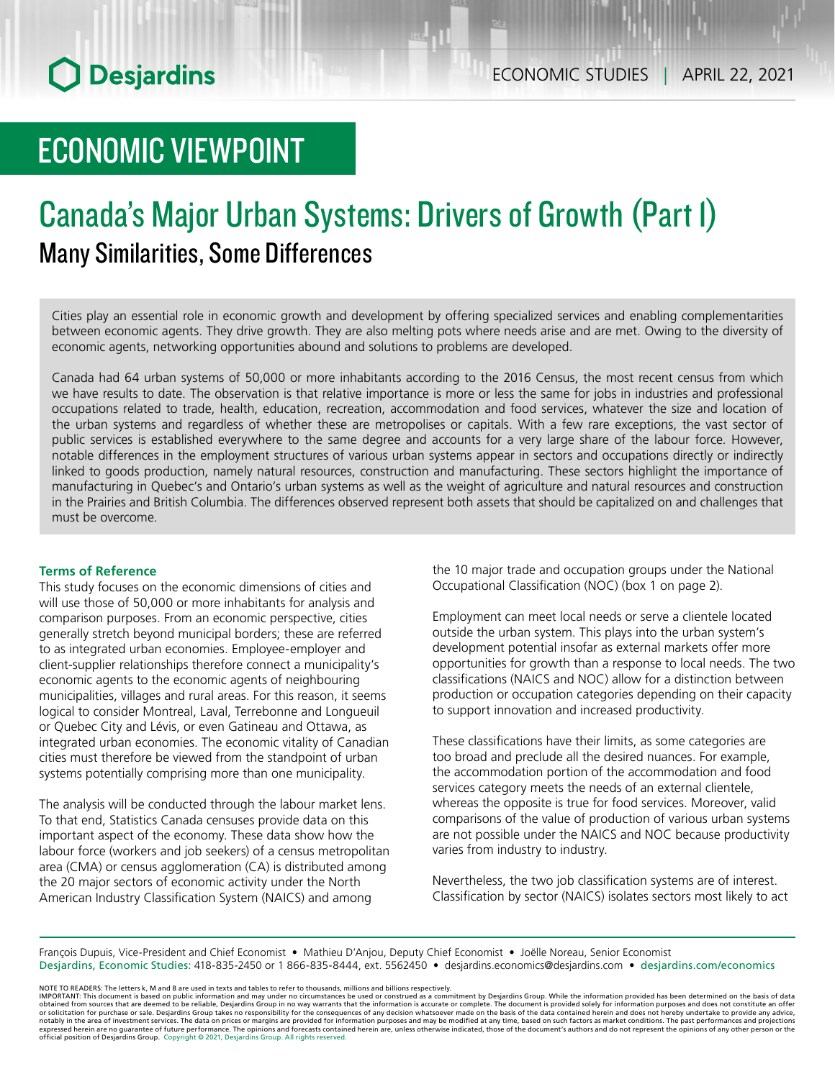# ECONOMIC VIEWPOINT

## Canada's Major Urban Systems: Drivers of Growth (Part 1) Many Similarities, Some Differences

Cities play an essential role in economic growth and development by offering specialized services and enabling complementarities between economic agents. They drive growth. They are also melting pots where needs arise and are met. Owing to the diversity of economic agents, networking opportunities abound and solutions to problems are developed.

Canada had 64 urban systems of 50,000 or more inhabitants according to the 2016 Census, the most recent census from which we have results to date. The observation is that relative importance is more or less the same for jobs in industries and professional occupations related to trade, health, education, recreation, accommodation and food services, whatever the size and location of the urban systems and regardless of whether these are metropolises or capitals. With a few rare exceptions, the vast sector of public services is established everywhere to the same degree and accounts for a very large share of the labour force. However, notable differences in the employment structures of various urban systems appear in sectors and occupations directly or indirectly linked to goods production, namely natural resources, construction and manufacturing. These sectors highlight the importance of manufacturing in Quebec's and Ontario's urban systems as well as the weight of agriculture and natural resources and construction in the Prairies and British Columbia. The differences observed represent both assets that should be capitalized on and challenges that must be overcome.

#### **Terms of Reference**

This study focuses on the economic dimensions of cities and will use those of 50,000 or more inhabitants for analysis and comparison purposes. From an economic perspective, cities generally stretch beyond municipal borders; these are referred to as integrated urban economies. Employee-employer and client-supplier relationships therefore connect a municipality's economic agents to the economic agents of neighbouring municipalities, villages and rural areas. For this reason, it seems logical to consider Montreal, Laval, Terrebonne and Longueuil or Quebec City and Lévis, or even Gatineau and Ottawa, as integrated urban economies. The economic vitality of Canadian cities must therefore be viewed from the standpoint of urban systems potentially comprising more than one municipality.

The analysis will be conducted through the labour market lens. To that end, Statistics Canada censuses provide data on this important aspect of the economy. These data show how the labour force (workers and job seekers) of a census metropolitan area (CMA) or census agglomeration (CA) is distributed among the 20 major sectors of economic activity under the North American Industry Classification System (NAICS) and among

the 10 major trade and occupation groups under the National Occupational Classification (NOC) (box 1 on page 2).

Employment can meet local needs or serve a clientele located outside the urban system. This plays into the urban system's development potential insofar as external markets offer more opportunities for growth than a response to local needs. The two classifications (NAICS and NOC) allow for a distinction between production or occupation categories depending on their capacity to support innovation and increased productivity.

These classifications have their limits, as some categories are too broad and preclude all the desired nuances. For example, the accommodation portion of the accommodation and food services category meets the needs of an external clientele, whereas the opposite is true for food services. Moreover, valid comparisons of the value of production of various urban systems are not possible under the NAICS and NOC because productivity varies from industry to industry.

Nevertheless, the two job classification systems are of interest. Classification by sector (NAICS) isolates sectors most likely to act

François Dupuis, Vice-President and Chief Economist • Mathieu D'Anjou, Deputy Chief Economist • Joëlle Noreau, Senior Economist Desjardins, Economic Studies: 418-835-2450 or 1 866-835-8444, ext. 5562450 • desjardins.economics@desjardins.com • desjardins.com/economics

NOTE TO READERS: The letters k, M and B are used in texts and tables to refer to thousands, millions and billions respectively.<br>IMPORTANT: This document is based on public information and may under no circumstances be used obtained from sources that are deemed to be reliable, Desjardins Group in no way warrants that the information is accurate or complete. The document is provided solely for information purposes and does not constitute an of expressed herein are no guarantee of future performance. The opinions and forecasts contained herein are, unless otherwise indicated, those of the document's authors and do not represent the opinions of any other person or official position of Desjardins Group. Copyright © 2021, Desjardins Group. All rights reserved.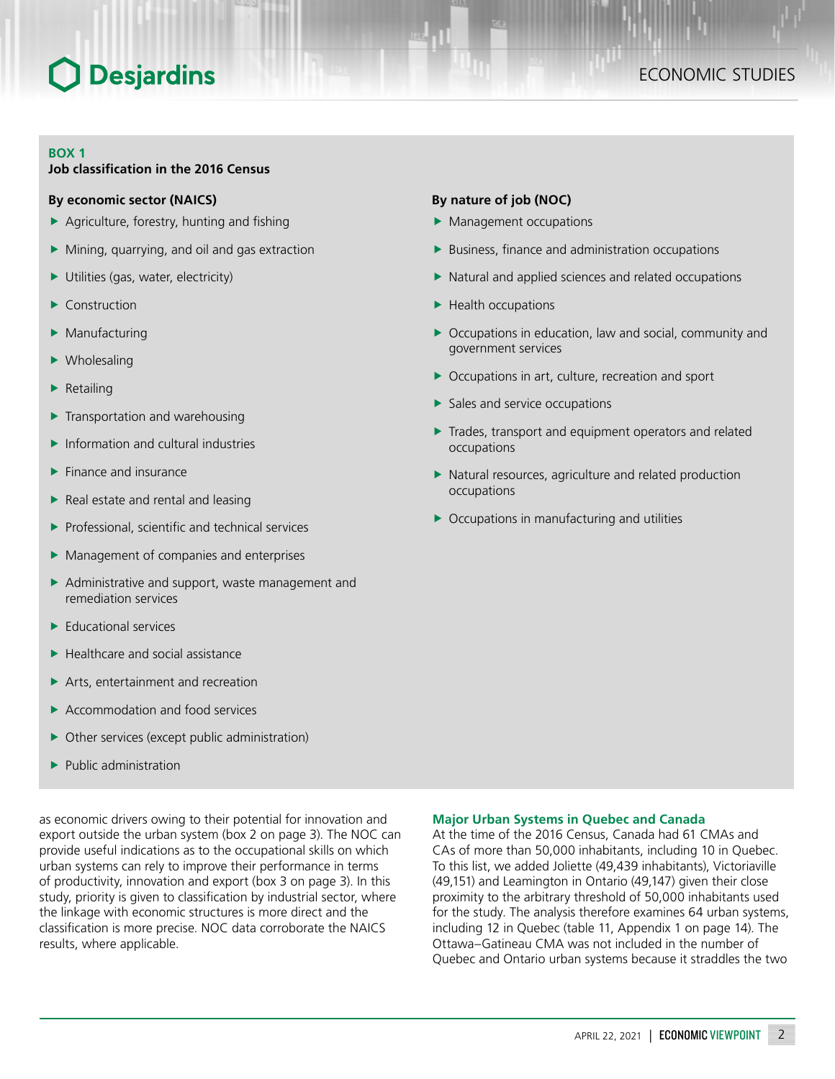#### **BOX 1**

#### **Job classification in the 2016 Census**

#### **By economic sector (NAICS)**

- $\blacktriangleright$  Agriculture, forestry, hunting and fishing
- $\blacktriangleright$  Mining, quarrying, and oil and gas extraction
- $\blacktriangleright$  Utilities (gas, water, electricity)
- Construction
- Manufacturing
- $\blacktriangleright$  Wholesaling
- $\blacktriangleright$  Retailing
- $\blacktriangleright$  Transportation and warehousing
- $\blacktriangleright$  Information and cultural industries
- $\blacktriangleright$  Finance and insurance
- $\blacktriangleright$  Real estate and rental and leasing
- $\blacktriangleright$  Professional, scientific and technical services
- $\blacktriangleright$  Management of companies and enterprises
- $\blacktriangleright$  Administrative and support, waste management and remediation services
- $\blacktriangleright$  Educational services
- $\blacktriangleright$  Healthcare and social assistance
- $\blacktriangleright$  Arts, entertainment and recreation
- $\blacktriangleright$  Accommodation and food services
- $\triangleright$  Other services (except public administration)
- $\blacktriangleright$  Public administration

as economic drivers owing to their potential for innovation and export outside the urban system (box 2 on page 3). The NOC can provide useful indications as to the occupational skills on which urban systems can rely to improve their performance in terms of productivity, innovation and export (box 3 on page 3). In this study, priority is given to classification by industrial sector, where the linkage with economic structures is more direct and the classification is more precise. NOC data corroborate the NAICS results, where applicable.

#### **By nature of job (NOC)**

- $\blacktriangleright$  Management occupations
- $\blacktriangleright$  Business, finance and administration occupations
- $\blacktriangleright$  Natural and applied sciences and related occupations
- $\blacktriangleright$  Health occupations
- $\triangleright$  Occupations in education, law and social, community and government services
- $\triangleright$  Occupations in art, culture, recreation and sport
- $\blacktriangleright$  Sales and service occupations
- $\blacktriangleright$  Trades, transport and equipment operators and related occupations
- $\blacktriangleright$  Natural resources, agriculture and related production occupations
- $\triangleright$  Occupations in manufacturing and utilities

#### **Major Urban Systems in Quebec and Canada**

At the time of the 2016 Census, Canada had 61 CMAs and CAs of more than 50,000 inhabitants, including 10 in Quebec. To this list, we added Joliette (49,439 inhabitants), Victoriaville (49,151) and Leamington in Ontario (49,147) given their close proximity to the arbitrary threshold of 50,000 inhabitants used for the study. The analysis therefore examines 64 urban systems, including 12 in Quebec (table 11, Appendix 1 on page 14). The Ottawa–Gatineau CMA was not included in the number of Quebec and Ontario urban systems because it straddles the two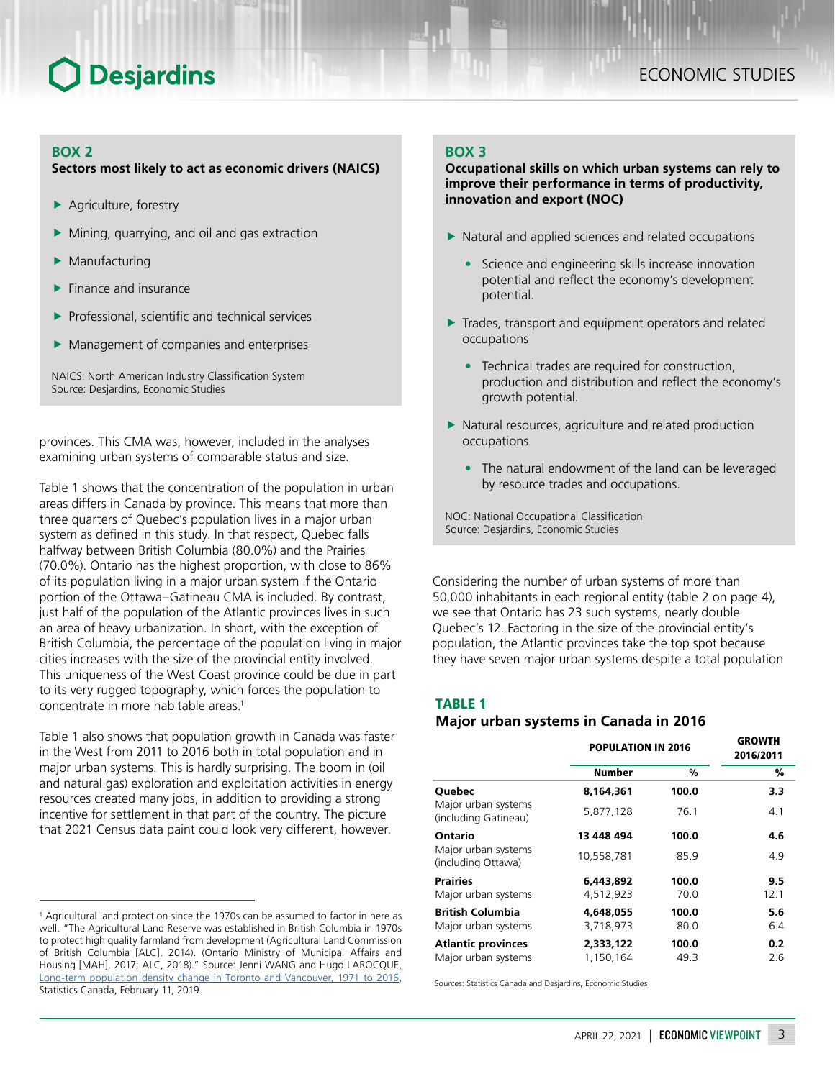#### **BOX 2**

#### **Sectors most likely to act as economic drivers (NAICS)**

- $\blacktriangleright$  Agriculture, forestry
- Mining, quarrying, and oil and gas extraction
- Manufacturing
- $\blacktriangleright$  Finance and insurance
- Professional, scientific and technical services
- $\blacktriangleright$  Management of companies and enterprises

NAICS: North American Industry Classification System Source: Desjardins, Economic Studies

provinces. This CMA was, however, included in the analyses examining urban systems of comparable status and size.

Table 1 shows that the concentration of the population in urban areas differs in Canada by province. This means that more than three quarters of Quebec's population lives in a major urban system as defined in this study. In that respect, Quebec falls halfway between British Columbia (80.0%) and the Prairies (70.0%). Ontario has the highest proportion, with close to 86% of its population living in a major urban system if the Ontario portion of the Ottawa–Gatineau CMA is included. By contrast, just half of the population of the Atlantic provinces lives in such an area of heavy urbanization. In short, with the exception of British Columbia, the percentage of the population living in major cities increases with the size of the provincial entity involved. This uniqueness of the West Coast province could be due in part to its very rugged topography, which forces the population to concentrate in more habitable areas.<sup>1</sup>

Table 1 also shows that population growth in Canada was faster in the West from 2011 to 2016 both in total population and in major urban systems. This is hardly surprising. The boom in (oil and natural gas) exploration and exploitation activities in energy resources created many jobs, in addition to providing a strong incentive for settlement in that part of the country. The picture that 2021 Census data paint could look very different, however.

### **BOX 3**

**Occupational skills on which urban systems can rely to improve their performance in terms of productivity, innovation and export (NOC)**

- $\blacktriangleright$  Natural and applied sciences and related occupations
	- Science and engineering skills increase innovation potential and reflect the economy's development potential.
- $\blacktriangleright$  Trades, transport and equipment operators and related occupations
	- Technical trades are required for construction, production and distribution and reflect the economy's growth potential.
- $\blacktriangleright$  Natural resources, agriculture and related production occupations
	- The natural endowment of the land can be leveraged by resource trades and occupations.

NOC: National Occupational Classification Source: Desjardins, Economic Studies

Considering the number of urban systems of more than 50,000 inhabitants in each regional entity (table 2 on page 4), we see that Ontario has 23 such systems, nearly double Quebec's 12. Factoring in the size of the provincial entity's population, the Atlantic provinces take the top spot because they have seven major urban systems despite a total population

### TABLE 1

#### *Major urban systems in Canada in 2016*

|                                                  | <b>POPULATION IN 2016</b> | <b>GROWTH</b><br>2016/2011 |            |
|--------------------------------------------------|---------------------------|----------------------------|------------|
|                                                  | Number                    | %                          | %          |
| Quebec                                           | 8,164,361                 | 100.0                      | 3.3        |
| Major urban systems<br>(including Gatineau)      | 5.877.128                 | 76.1                       | 4.1        |
| Ontario                                          | 13 448 494                | 100.0                      | 4.6        |
| Major urban systems<br>(including Ottawa)        | 10,558,781                | 85.9                       | 4.9        |
| <b>Prairies</b>                                  | 6.443.892                 | 100.0                      | 9.5        |
| Major urban systems                              | 4,512,923                 | 70.0                       | 12.1       |
| <b>British Columbia</b><br>Major urban systems   | 4.648.055<br>3,718,973    | 100.0<br>80.0              | 5.6<br>6.4 |
| <b>Atlantic provinces</b><br>Major urban systems | 2,333,122<br>1,150,164    | 100.0<br>49.3              | 0.2<br>2.6 |

Sources: Statistics Canada and Desjardins, Economic Studies

<sup>&</sup>lt;sup>1</sup> Agricultural land protection since the 1970s can be assumed to factor in here as well. "The Agricultural Land Reserve was established in British Columbia in 1970s to protect high quality farmland from development (Agricultural Land Commission of British Columbia [ALC], 2014). (Ontario Ministry of Municipal Affairs and Housing [MAH], 2017; ALC, 2018)." Source: Jenni WANG and Hugo LAROCQUE, [Long-term population density change in Toronto and Vancouver, 1971 to 2016,](https://www150.statcan.gc.ca/n1/pub/16-508-x/16-508-x2019001-eng.htm) Statistics Canada, February 11, 2019.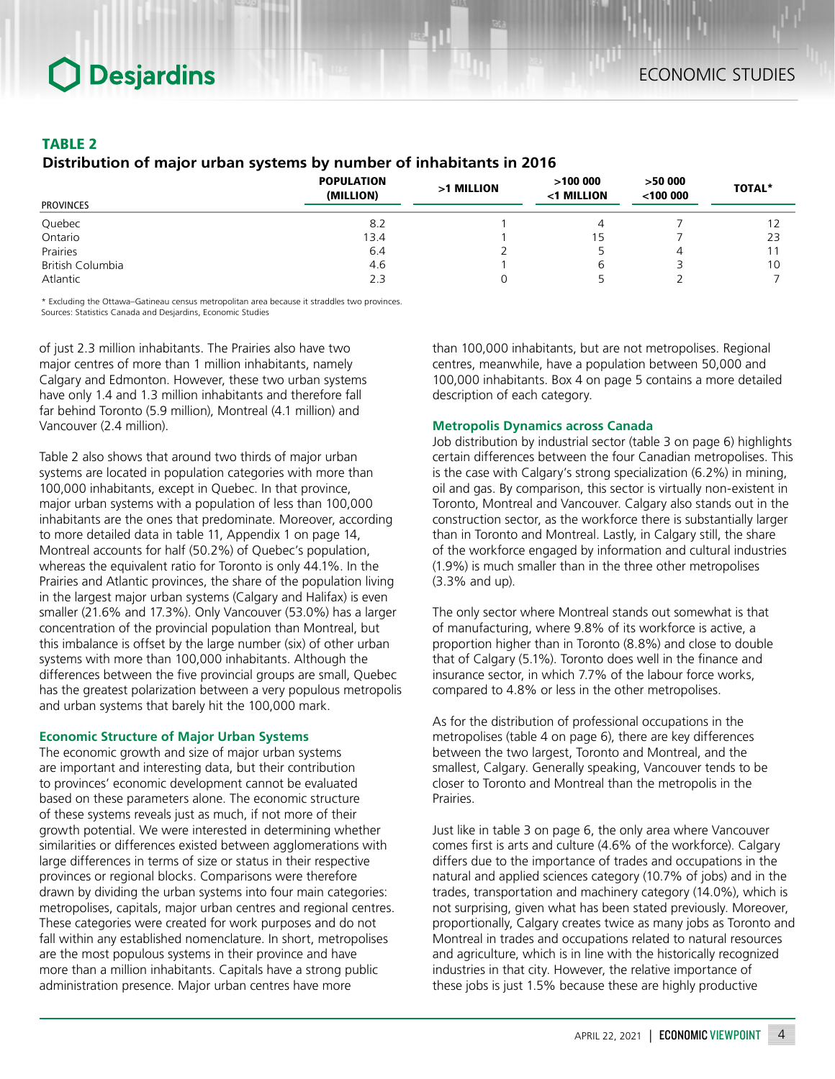### TABLE 2

#### *Distribution of major urban systems by number of inhabitants in 2016*

| <b>PROVINCES</b> | <b>POPULATION</b><br>(MILLION) | >1 MILLION | >100000<br><1 MILLION | >50000<br>$<$ 100 000 | <b>TOTAL*</b> |
|------------------|--------------------------------|------------|-----------------------|-----------------------|---------------|
|                  |                                |            |                       |                       |               |
| Quebec           | 8.2                            |            | 4                     |                       | 12            |
| Ontario          | 13.4                           |            | 15                    |                       | 23            |
| Prairies         | 6.4                            |            |                       | 4                     |               |
| British Columbia | 4.6                            |            | ь                     |                       | 10            |
| Atlantic         | 2.3                            |            |                       |                       |               |

\* Excluding the Ottawa–Gatineau census metropolitan area because it straddles two provinces. Sources: Statistics Canada and Desjardins, Economic Studies

of just 2.3 million inhabitants. The Prairies also have two major centres of more than 1 million inhabitants, namely Calgary and Edmonton. However, these two urban systems have only 1.4 and 1.3 million inhabitants and therefore fall far behind Toronto (5.9 million), Montreal (4.1 million) and Vancouver (2.4 million).

Table 2 also shows that around two thirds of major urban systems are located in population categories with more than 100,000 inhabitants, except in Quebec. In that province, major urban systems with a population of less than 100,000 inhabitants are the ones that predominate. Moreover, according to more detailed data in table 11, Appendix 1 on page 14, Montreal accounts for half (50.2%) of Quebec's population, whereas the equivalent ratio for Toronto is only 44.1%. In the Prairies and Atlantic provinces, the share of the population living in the largest major urban systems (Calgary and Halifax) is even smaller (21.6% and 17.3%). Only Vancouver (53.0%) has a larger concentration of the provincial population than Montreal, but this imbalance is offset by the large number (six) of other urban systems with more than 100,000 inhabitants. Although the differences between the five provincial groups are small, Quebec has the greatest polarization between a very populous metropolis and urban systems that barely hit the 100,000 mark.

#### **Economic Structure of Major Urban Systems**

The economic growth and size of major urban systems are important and interesting data, but their contribution to provinces' economic development cannot be evaluated based on these parameters alone. The economic structure of these systems reveals just as much, if not more of their growth potential. We were interested in determining whether similarities or differences existed between agglomerations with large differences in terms of size or status in their respective provinces or regional blocks. Comparisons were therefore drawn by dividing the urban systems into four main categories: metropolises, capitals, major urban centres and regional centres. These categories were created for work purposes and do not fall within any established nomenclature. In short, metropolises are the most populous systems in their province and have more than a million inhabitants. Capitals have a strong public administration presence. Major urban centres have more

than 100,000 inhabitants, but are not metropolises. Regional centres, meanwhile, have a population between 50,000 and 100,000 inhabitants. Box 4 on page 5 contains a more detailed description of each category.

#### **Metropolis Dynamics across Canada**

Job distribution by industrial sector (table 3 on page 6) highlights certain differences between the four Canadian metropolises. This is the case with Calgary's strong specialization (6.2%) in mining, oil and gas. By comparison, this sector is virtually non-existent in Toronto, Montreal and Vancouver. Calgary also stands out in the construction sector, as the workforce there is substantially larger than in Toronto and Montreal. Lastly, in Calgary still, the share of the workforce engaged by information and cultural industries (1.9%) is much smaller than in the three other metropolises (3.3% and up).

The only sector where Montreal stands out somewhat is that of manufacturing, where 9.8% of its workforce is active, a proportion higher than in Toronto (8.8%) and close to double that of Calgary (5.1%). Toronto does well in the finance and insurance sector, in which 7.7% of the labour force works, compared to 4.8% or less in the other metropolises.

As for the distribution of professional occupations in the metropolises (table 4 on page 6), there are key differences between the two largest, Toronto and Montreal, and the smallest, Calgary. Generally speaking, Vancouver tends to be closer to Toronto and Montreal than the metropolis in the Prairies.

Just like in table 3 on page 6, the only area where Vancouver comes first is arts and culture (4.6% of the workforce). Calgary differs due to the importance of trades and occupations in the natural and applied sciences category (10.7% of jobs) and in the trades, transportation and machinery category (14.0%), which is not surprising, given what has been stated previously. Moreover, proportionally, Calgary creates twice as many jobs as Toronto and Montreal in trades and occupations related to natural resources and agriculture, which is in line with the historically recognized industries in that city. However, the relative importance of these jobs is just 1.5% because these are highly productive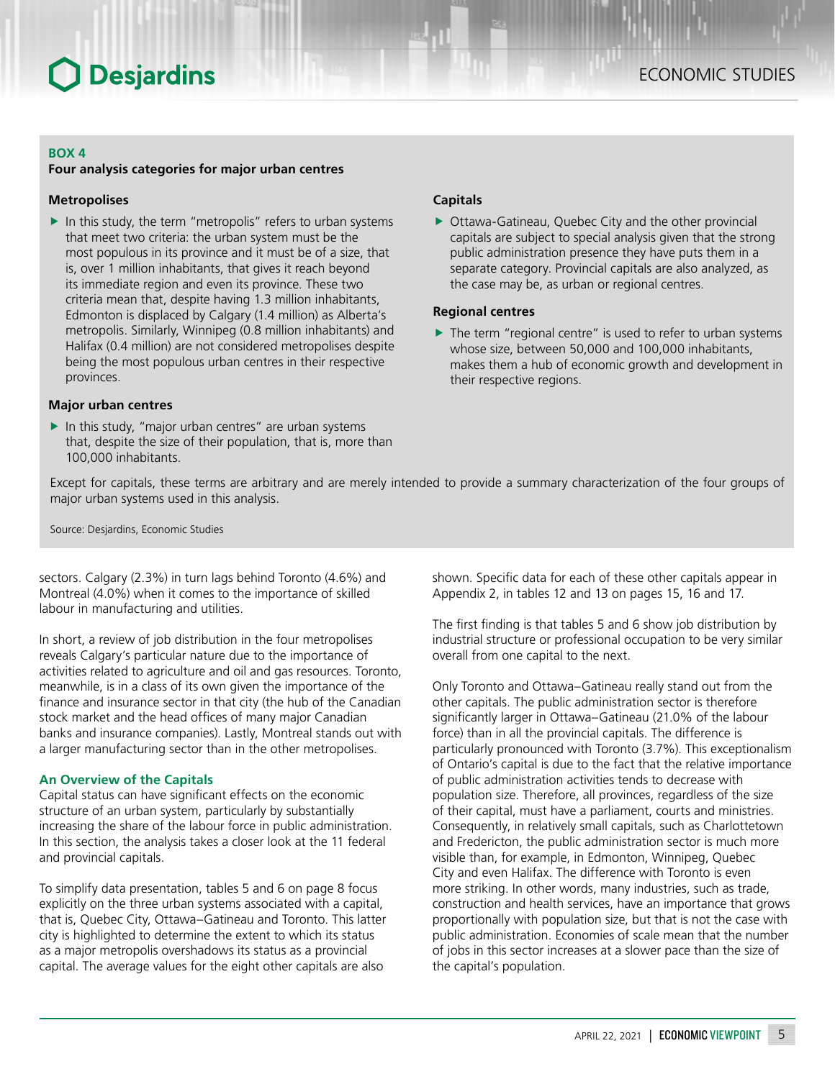#### **BOX 4**

#### **Four analysis categories for major urban centres**

#### **Metropolises**

 $\blacktriangleright$  In this study, the term "metropolis" refers to urban systems that meet two criteria: the urban system must be the most populous in its province and it must be of a size, that is, over 1 million inhabitants, that gives it reach beyond its immediate region and even its province. These two criteria mean that, despite having 1.3 million inhabitants, Edmonton is displaced by Calgary (1.4 million) as Alberta's metropolis. Similarly, Winnipeg (0.8 million inhabitants) and Halifax (0.4 million) are not considered metropolises despite being the most populous urban centres in their respective provinces.

#### **Major urban centres**

 $\blacktriangleright$  In this study, "major urban centres" are urban systems that, despite the size of their population, that is, more than 100,000 inhabitants.

#### **Capitals**

 $\triangleright$  Ottawa-Gatineau, Quebec City and the other provincial capitals are subject to special analysis given that the strong public administration presence they have puts them in a separate category. Provincial capitals are also analyzed, as the case may be, as urban or regional centres.

#### **Regional centres**

 $\blacktriangleright$  The term "regional centre" is used to refer to urban systems whose size, between 50,000 and 100,000 inhabitants, makes them a hub of economic growth and development in their respective regions.

Except for capitals, these terms are arbitrary and are merely intended to provide a summary characterization of the four groups of major urban systems used in this analysis.

Source: Desjardins, Economic Studies

sectors. Calgary (2.3%) in turn lags behind Toronto (4.6%) and Montreal (4.0%) when it comes to the importance of skilled labour in manufacturing and utilities.

In short, a review of job distribution in the four metropolises reveals Calgary's particular nature due to the importance of activities related to agriculture and oil and gas resources. Toronto, meanwhile, is in a class of its own given the importance of the finance and insurance sector in that city (the hub of the Canadian stock market and the head offices of many major Canadian banks and insurance companies). Lastly, Montreal stands out with a larger manufacturing sector than in the other metropolises.

#### **An Overview of the Capitals**

Capital status can have significant effects on the economic structure of an urban system, particularly by substantially increasing the share of the labour force in public administration. In this section, the analysis takes a closer look at the 11 federal and provincial capitals.

To simplify data presentation, tables 5 and 6 on page 8 focus explicitly on the three urban systems associated with a capital, that is, Quebec City, Ottawa–Gatineau and Toronto. This latter city is highlighted to determine the extent to which its status as a major metropolis overshadows its status as a provincial capital. The average values for the eight other capitals are also

shown. Specific data for each of these other capitals appear in Appendix 2, in tables 12 and 13 on pages 15, 16 and 17.

The first finding is that tables 5 and 6 show job distribution by industrial structure or professional occupation to be very similar overall from one capital to the next.

Only Toronto and Ottawa–Gatineau really stand out from the other capitals. The public administration sector is therefore significantly larger in Ottawa–Gatineau (21.0% of the labour force) than in all the provincial capitals. The difference is particularly pronounced with Toronto (3.7%). This exceptionalism of Ontario's capital is due to the fact that the relative importance of public administration activities tends to decrease with population size. Therefore, all provinces, regardless of the size of their capital, must have a parliament, courts and ministries. Consequently, in relatively small capitals, such as Charlottetown and Fredericton, the public administration sector is much more visible than, for example, in Edmonton, Winnipeg, Quebec City and even Halifax. The difference with Toronto is even more striking. In other words, many industries, such as trade, construction and health services, have an importance that grows proportionally with population size, but that is not the case with public administration. Economies of scale mean that the number of jobs in this sector increases at a slower pace than the size of the capital's population.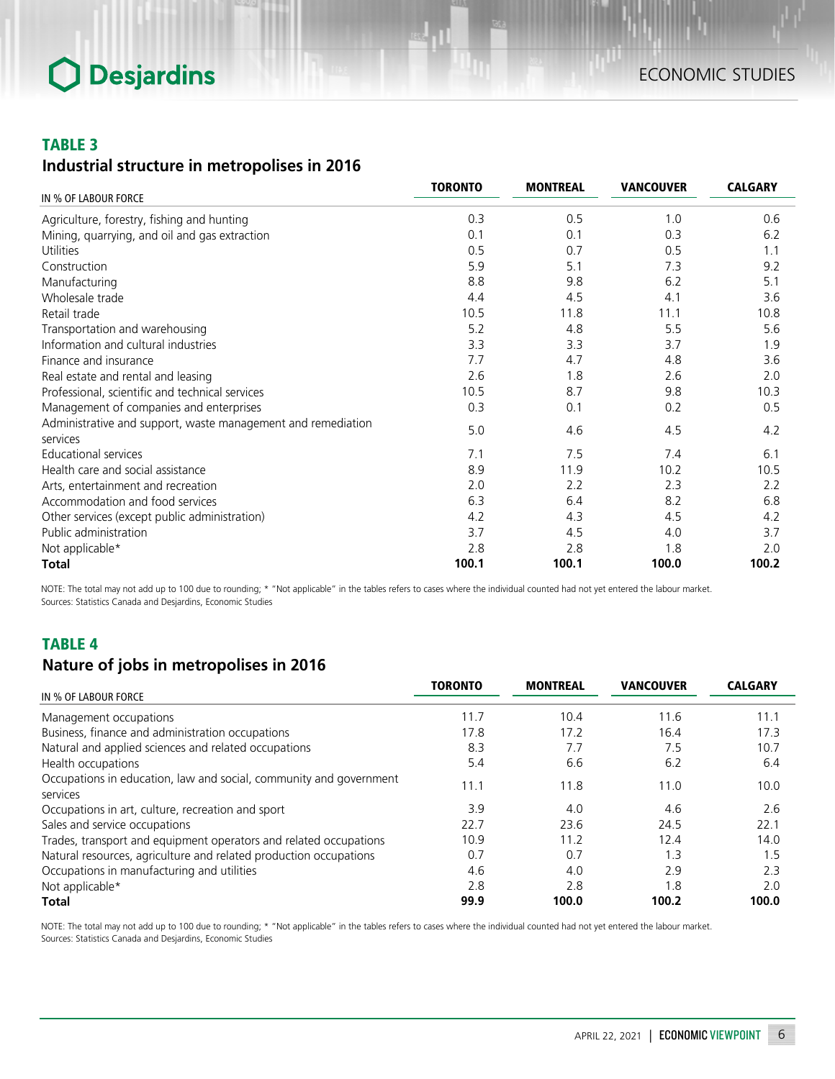### TABLE 3

## *Industrial structure in metropolises in 2016*

|                                                                          | <b>TORONTO</b> | <b>MONTREAL</b> | <b>VANCOUVER</b> | <b>CALGARY</b> |
|--------------------------------------------------------------------------|----------------|-----------------|------------------|----------------|
| IN % OF LABOUR FORCE                                                     |                |                 |                  |                |
| Agriculture, forestry, fishing and hunting                               | 0.3            | 0.5             | 1.0              | 0.6            |
| Mining, quarrying, and oil and gas extraction                            | 0.1            | 0.1             | 0.3              | 6.2            |
| Utilities                                                                | 0.5            | 0.7             | 0.5              | 1.1            |
| Construction                                                             | 5.9            | 5.1             | 7.3              | 9.2            |
| Manufacturing                                                            | 8.8            | 9.8             | 6.2              | 5.1            |
| Wholesale trade                                                          | 4.4            | 4.5             | 4.1              | 3.6            |
| Retail trade                                                             | 10.5           | 11.8            | 11.1             | 10.8           |
| Transportation and warehousing                                           | 5.2            | 4.8             | 5.5              | 5.6            |
| Information and cultural industries                                      | 3.3            | 3.3             | 3.7              | 1.9            |
| Finance and insurance                                                    | 7.7            | 4.7             | 4.8              | 3.6            |
| Real estate and rental and leasing                                       | 2.6            | 1.8             | 2.6              | 2.0            |
| Professional, scientific and technical services                          | 10.5           | 8.7             | 9.8              | 10.3           |
| Management of companies and enterprises                                  | 0.3            | 0.1             | 0.2              | 0.5            |
| Administrative and support, waste management and remediation<br>services | 5.0            | 4.6             | 4.5              | 4.2            |
| <b>Educational services</b>                                              | 7.1            | 7.5             | 7.4              | 6.1            |
| Health care and social assistance                                        | 8.9            | 11.9            | 10.2             | 10.5           |
| Arts, entertainment and recreation                                       | 2.0            | 2.2             | 2.3              | 2.2            |
| Accommodation and food services                                          | 6.3            | 6.4             | 8.2              | 6.8            |
| Other services (except public administration)                            | 4.2            | 4.3             | 4.5              | 4.2            |
| Public administration                                                    | 3.7            | 4.5             | 4.0              | 3.7            |
| Not applicable*                                                          | 2.8            | 2.8             | 1.8              | 2.0            |
| <b>Total</b>                                                             | 100.1          | 100.1           | 100.0            | 100.2          |

NOTE: The total may not add up to 100 due to rounding; \* "Not applicable" in the tables refers to cases where the individual counted had not yet entered the labour market. Sources: Statistics Canada and Desjardins, Economic Studies

## TABLE 4 *Nature of jobs in metropolises in 2016*

|                                                                                | <b>TORONTO</b> | <b>MONTREAL</b> | <b>VANCOUVER</b> | <b>CALGARY</b> |
|--------------------------------------------------------------------------------|----------------|-----------------|------------------|----------------|
| IN % OF LABOUR FORCE                                                           |                |                 |                  |                |
| Management occupations                                                         | 11.7           | 10.4            | 11.6             | 11.1           |
| Business, finance and administration occupations                               | 17.8           | 17.2            | 16.4             | 17.3           |
| Natural and applied sciences and related occupations                           | 8.3            | 7.7             | 7.5              | 10.7           |
| Health occupations                                                             | 5.4            | 6.6             | 6.2              | 6.4            |
| Occupations in education, law and social, community and government<br>services | 11.1           | 11.8            | 11.0             | 10.0           |
| Occupations in art, culture, recreation and sport                              | 3.9            | 4.0             | 4.6              | 2.6            |
| Sales and service occupations                                                  | 22.7           | 23.6            | 24.5             | 22.1           |
| Trades, transport and equipment operators and related occupations              | 10.9           | 11.2            | 12.4             | 14.0           |
| Natural resources, agriculture and related production occupations              | 0.7            | 0 <sub>7</sub>  | 1.3              | 1.5            |
| Occupations in manufacturing and utilities                                     | 4.6            | 4.0             | 2.9              | 2.3            |
| Not applicable*                                                                | 2.8            | 2.8             | 1.8              | 2.0            |
| <b>Total</b>                                                                   | 99.9           | 100.0           | 100.2            | 100.0          |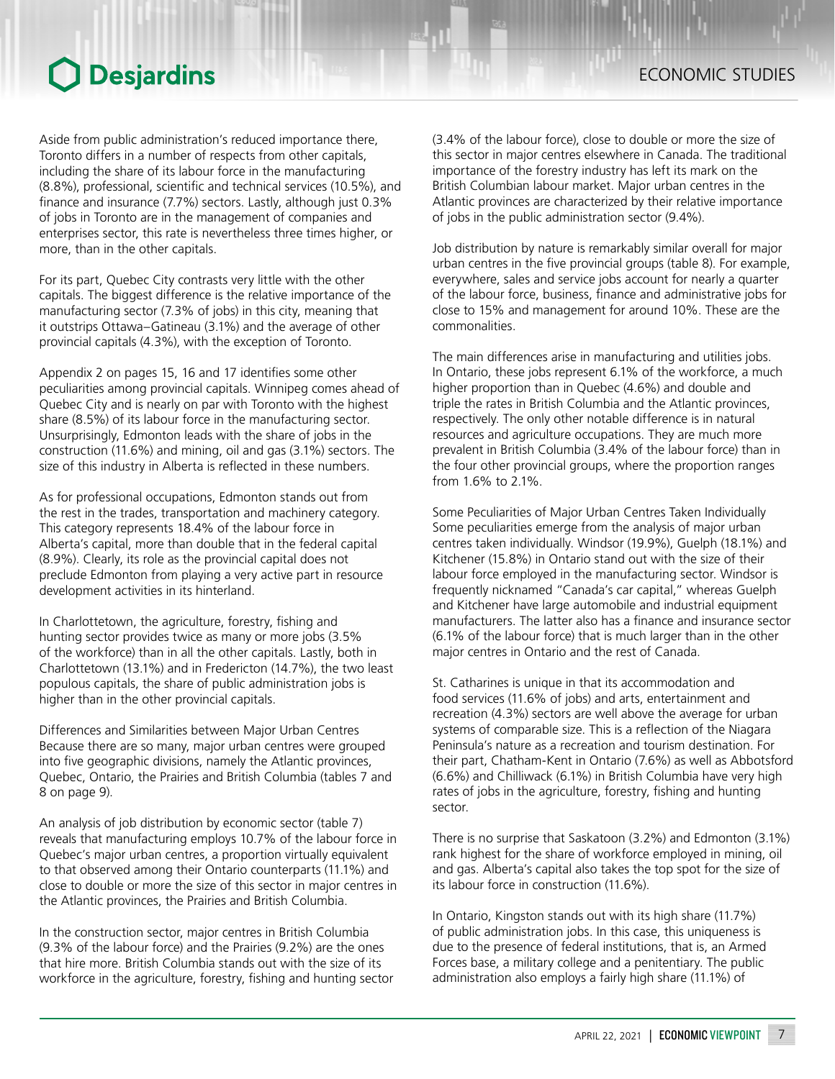Aside from public administration's reduced importance there, Toronto differs in a number of respects from other capitals, including the share of its labour force in the manufacturing (8.8%), professional, scientific and technical services (10.5%), and finance and insurance (7.7%) sectors. Lastly, although just 0.3% of jobs in Toronto are in the management of companies and enterprises sector, this rate is nevertheless three times higher, or more, than in the other capitals.

For its part, Quebec City contrasts very little with the other capitals. The biggest difference is the relative importance of the manufacturing sector (7.3% of jobs) in this city, meaning that it outstrips Ottawa–Gatineau (3.1%) and the average of other provincial capitals (4.3%), with the exception of Toronto.

Appendix 2 on pages 15, 16 and 17 identifies some other peculiarities among provincial capitals. Winnipeg comes ahead of Quebec City and is nearly on par with Toronto with the highest share (8.5%) of its labour force in the manufacturing sector. Unsurprisingly, Edmonton leads with the share of jobs in the construction (11.6%) and mining, oil and gas (3.1%) sectors. The size of this industry in Alberta is reflected in these numbers.

As for professional occupations, Edmonton stands out from the rest in the trades, transportation and machinery category. This category represents 18.4% of the labour force in Alberta's capital, more than double that in the federal capital (8.9%). Clearly, its role as the provincial capital does not preclude Edmonton from playing a very active part in resource development activities in its hinterland.

In Charlottetown, the agriculture, forestry, fishing and hunting sector provides twice as many or more jobs (3.5% of the workforce) than in all the other capitals. Lastly, both in Charlottetown (13.1%) and in Fredericton (14.7%), the two least populous capitals, the share of public administration jobs is higher than in the other provincial capitals.

Differences and Similarities between Major Urban Centres Because there are so many, major urban centres were grouped into five geographic divisions, namely the Atlantic provinces, Quebec, Ontario, the Prairies and British Columbia (tables 7 and 8 on page 9).

An analysis of job distribution by economic sector (table 7) reveals that manufacturing employs 10.7% of the labour force in Quebec's major urban centres, a proportion virtually equivalent to that observed among their Ontario counterparts (11.1%) and close to double or more the size of this sector in major centres in the Atlantic provinces, the Prairies and British Columbia.

In the construction sector, major centres in British Columbia (9.3% of the labour force) and the Prairies (9.2%) are the ones that hire more. British Columbia stands out with the size of its workforce in the agriculture, forestry, fishing and hunting sector (3.4% of the labour force), close to double or more the size of this sector in major centres elsewhere in Canada. The traditional importance of the forestry industry has left its mark on the British Columbian labour market. Major urban centres in the Atlantic provinces are characterized by their relative importance of jobs in the public administration sector (9.4%).

Job distribution by nature is remarkably similar overall for major urban centres in the five provincial groups (table 8). For example, everywhere, sales and service jobs account for nearly a quarter of the labour force, business, finance and administrative jobs for close to 15% and management for around 10%. These are the commonalities.

The main differences arise in manufacturing and utilities jobs. In Ontario, these jobs represent 6.1% of the workforce, a much higher proportion than in Quebec (4.6%) and double and triple the rates in British Columbia and the Atlantic provinces, respectively. The only other notable difference is in natural resources and agriculture occupations. They are much more prevalent in British Columbia (3.4% of the labour force) than in the four other provincial groups, where the proportion ranges from 1.6% to 2.1%.

Some Peculiarities of Major Urban Centres Taken Individually Some peculiarities emerge from the analysis of major urban centres taken individually. Windsor (19.9%), Guelph (18.1%) and Kitchener (15.8%) in Ontario stand out with the size of their labour force employed in the manufacturing sector. Windsor is frequently nicknamed "Canada's car capital," whereas Guelph and Kitchener have large automobile and industrial equipment manufacturers. The latter also has a finance and insurance sector (6.1% of the labour force) that is much larger than in the other major centres in Ontario and the rest of Canada.

St. Catharines is unique in that its accommodation and food services (11.6% of jobs) and arts, entertainment and recreation (4.3%) sectors are well above the average for urban systems of comparable size. This is a reflection of the Niagara Peninsula's nature as a recreation and tourism destination. For their part, Chatham-Kent in Ontario (7.6%) as well as Abbotsford (6.6%) and Chilliwack (6.1%) in British Columbia have very high rates of jobs in the agriculture, forestry, fishing and hunting sector.

There is no surprise that Saskatoon (3.2%) and Edmonton (3.1%) rank highest for the share of workforce employed in mining, oil and gas. Alberta's capital also takes the top spot for the size of its labour force in construction (11.6%).

In Ontario, Kingston stands out with its high share (11.7%) of public administration jobs. In this case, this uniqueness is due to the presence of federal institutions, that is, an Armed Forces base, a military college and a penitentiary. The public administration also employs a fairly high share (11.1%) of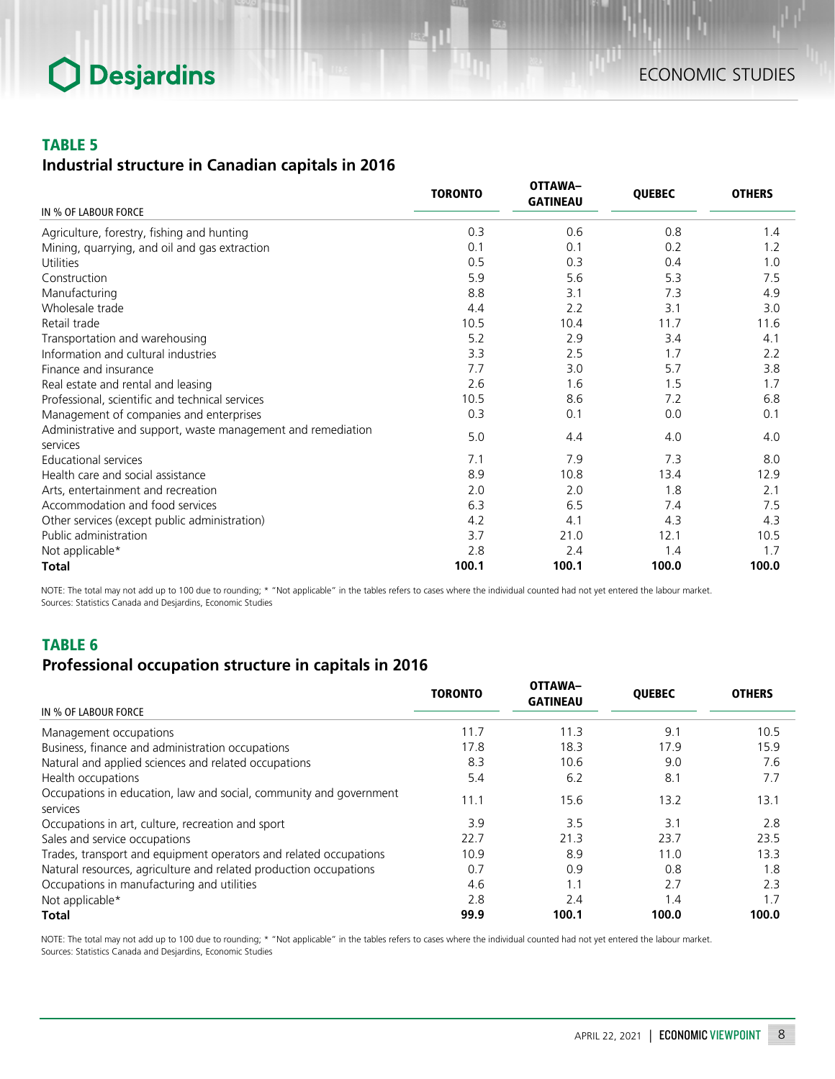### TABLE 5

## *Industrial structure in Canadian capitals in 2016*

|                                                                          | <b>TORONTO</b> | <b>OTTAWA-</b><br><b>GATINEAU</b> | <b>QUEBEC</b> | <b>OTHERS</b> |
|--------------------------------------------------------------------------|----------------|-----------------------------------|---------------|---------------|
| IN % OF LABOUR FORCE                                                     |                |                                   |               |               |
| Agriculture, forestry, fishing and hunting                               | 0.3            | 0.6                               | 0.8           | 1.4           |
| Mining, quarrying, and oil and gas extraction                            | 0.1            | 0.1                               | 0.2           | 1.2           |
| <b>Utilities</b>                                                         | 0.5            | 0.3                               | 0.4           | 1.0           |
| Construction                                                             | 5.9            | 5.6                               | 5.3           | 7.5           |
| Manufacturing                                                            | 8.8            | 3.1                               | 7.3           | 4.9           |
| Wholesale trade                                                          | 4.4            | 2.2                               | 3.1           | 3.0           |
| Retail trade                                                             | 10.5           | 10.4                              | 11.7          | 11.6          |
| Transportation and warehousing                                           | 5.2            | 2.9                               | 3.4           | 4.1           |
| Information and cultural industries                                      | 3.3            | 2.5                               | 1.7           | 2.2           |
| Finance and insurance                                                    | 7.7            | 3.0                               | 5.7           | 3.8           |
| Real estate and rental and leasing                                       | 2.6            | 1.6                               | 1.5           | 1.7           |
| Professional, scientific and technical services                          | 10.5           | 8.6                               | 7.2           | 6.8           |
| Management of companies and enterprises                                  | 0.3            | 0.1                               | 0.0           | 0.1           |
| Administrative and support, waste management and remediation<br>services | 5.0            | 4.4                               | 4.0           | 4.0           |
| Educational services                                                     | 7.1            | 7.9                               | 7.3           | 8.0           |
| Health care and social assistance                                        | 8.9            | 10.8                              | 13.4          | 12.9          |
| Arts, entertainment and recreation                                       | 2.0            | 2.0                               | 1.8           | 2.1           |
| Accommodation and food services                                          | 6.3            | 6.5                               | 7.4           | 7.5           |
| Other services (except public administration)                            | 4.2            | 4.1                               | 4.3           | 4.3           |
| Public administration                                                    | 3.7            | 21.0                              | 12.1          | 10.5          |
| Not applicable*                                                          | 2.8            | 2.4                               | 1.4           | 1.7           |
| <b>Total</b>                                                             | 100.1          | 100.1                             | 100.0         | 100.0         |

NOTE: The total may not add up to 100 due to rounding; \* "Not applicable" in the tables refers to cases where the individual counted had not yet entered the labour market. Sources: Statistics Canada and Desjardins, Economic Studies

## TABLE 6

### *Professional occupation structure in capitals in 2016*

|                                                                                | <b>TORONTO</b> | <b>OTTAWA-</b><br><b>GATINEAU</b> | <b>OUEBEC</b> | <b>OTHERS</b> |
|--------------------------------------------------------------------------------|----------------|-----------------------------------|---------------|---------------|
| IN % OF LABOUR FORCE                                                           |                |                                   |               |               |
| Management occupations                                                         | 11.7           | 11.3                              | 9.1           | 10.5          |
| Business, finance and administration occupations                               | 17.8           | 18.3                              | 17.9          | 15.9          |
| Natural and applied sciences and related occupations                           | 8.3            | 10.6                              | 9.0           | 7.6           |
| Health occupations                                                             | 5.4            | 6.2                               | 8.1           | 7.7           |
| Occupations in education, law and social, community and government<br>services | 11.1           | 15.6                              | 13.2          | 13.1          |
| Occupations in art, culture, recreation and sport                              | 3.9            | 3.5                               | 3.1           | 2.8           |
| Sales and service occupations                                                  | 22.7           | 21.3                              | 23.7          | 23.5          |
| Trades, transport and equipment operators and related occupations              | 10.9           | 8.9                               | 11.0          | 13.3          |
| Natural resources, agriculture and related production occupations              | 0.7            | 0.9                               | 0.8           | 1.8           |
| Occupations in manufacturing and utilities                                     | 4.6            | 1.1                               | 2.7           | 2.3           |
| Not applicable*                                                                | 2.8            | 2.4                               | 1.4           | 1.7           |
| Total                                                                          | 99.9           | 100.1                             | 100.0         | 100.0         |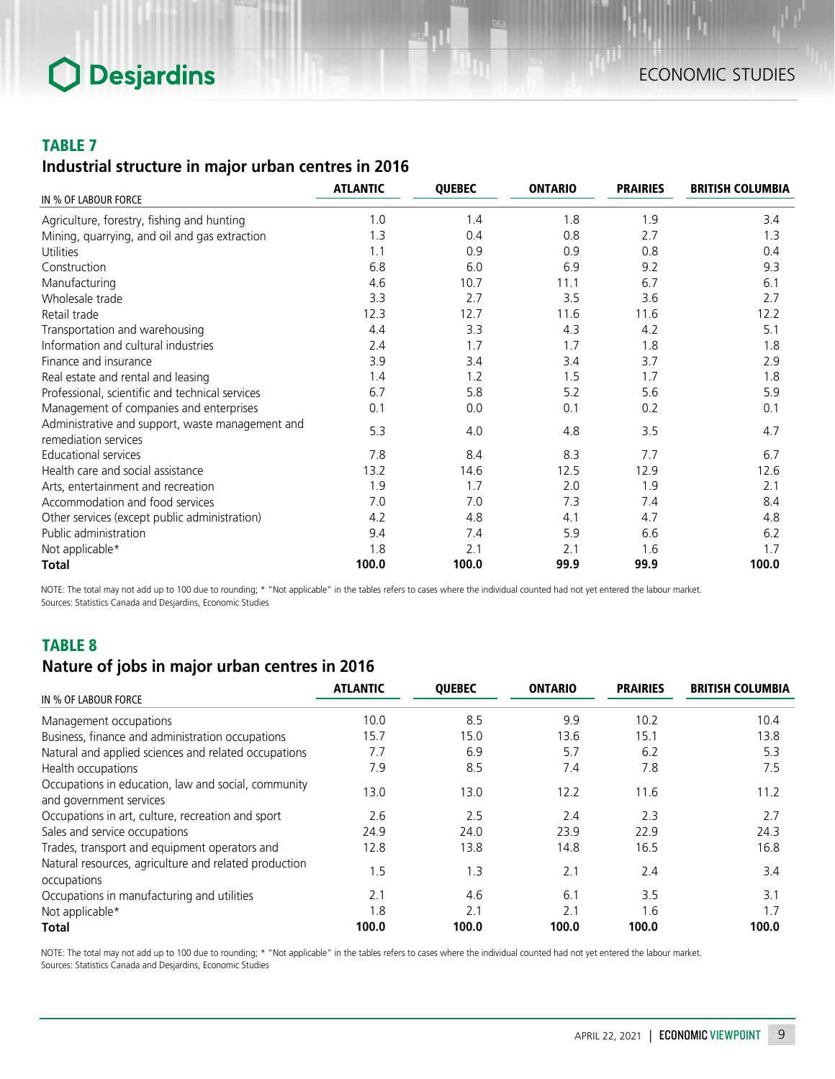### TABLE 7

## *Industrial structure in major urban centres in 2016*

|                                                                          | <b>ATLANTIC</b> | <b>QUEBEC</b> | <b>ONTARIO</b> | <b>PRAIRIES</b> | <b>BRITISH COLUMBIA</b> |
|--------------------------------------------------------------------------|-----------------|---------------|----------------|-----------------|-------------------------|
| IN % OF LABOUR FORCE                                                     |                 |               |                |                 |                         |
| Agriculture, forestry, fishing and hunting                               | 1.0             | 1.4           | 1.8            | 1.9             | 3.4                     |
| Mining, quarrying, and oil and gas extraction                            | 1.3             | 0.4           | 0.8            | 2.7             | 1.3                     |
| Utilities                                                                | 1.1             | 0.9           | 0.9            | 0.8             | 0.4                     |
| Construction                                                             | 6.8             | 6.0           | 6.9            | 9.2             | 9.3                     |
| Manufacturing                                                            | 4.6             | 10.7          | 11.1           | 6.7             | 6.1                     |
| Wholesale trade                                                          | 3.3             | 2.7           | 3.5            | 3.6             | 2.7                     |
| Retail trade                                                             | 12.3            | 12.7          | 11.6           | 11.6            | 12.2                    |
| Transportation and warehousing                                           | 4.4             | 3.3           | 4.3            | 4.2             | 5.1                     |
| Information and cultural industries                                      | 2.4             | 1.7           | 1.7            | 1.8             | 1.8                     |
| Finance and insurance                                                    | 3.9             | 3.4           | 3.4            | 3.7             | 2.9                     |
| Real estate and rental and leasing                                       | 1.4             | 1.2           | 1.5            | 1.7             | 1.8                     |
| Professional, scientific and technical services                          | 6.7             | 5.8           | 5.2            | 5.6             | 5.9                     |
| Management of companies and enterprises                                  | 0.1             | 0.0           | 0.1            | 0.2             | 0.1                     |
| Administrative and support, waste management and<br>remediation services | 5.3             | 4.0           | 4.8            | 3.5             | 4.7                     |
| <b>Educational services</b>                                              | 7.8             | 8.4           | 8.3            | 7.7             | 6.7                     |
| Health care and social assistance                                        | 13.2            | 14.6          | 12.5           | 12.9            | 12.6                    |
| Arts, entertainment and recreation                                       | 1.9             | 1.7           | 2.0            | 1.9             | 2.1                     |
| Accommodation and food services                                          | 7.0             | 7.0           | 7.3            | 7.4             | 8.4                     |
| Other services (except public administration)                            | 4.2             | 4.8           | 4.1            | 4.7             | 4.8                     |
| Public administration                                                    | 9.4             | 7.4           | 5.9            | 6.6             | 6.2                     |
| Not applicable*                                                          | 1.8             | 2.1           | 2.1            | 1.6             | 1.7                     |
| <b>Total</b>                                                             | 100.0           | 100.0         | 99.9           | 99.9            | 100.0                   |

NOTE: The total may not add up to 100 due to rounding; \* "Not applicable" in the tables refers to cases where the individual counted had not yet entered the labour market. Sources: Statistics Canada and Desjardins, Economic Studies

## TABLE 8

## *Nature of jobs in major urban centres in 2016*

| IN % OF LABOUR FORCE                                                           | <b>ATLANTIC</b> | <b>OUEBEC</b> | <b>ONTARIO</b> | <b>PRAIRIES</b> | <b>BRITISH COLUMBIA</b> |
|--------------------------------------------------------------------------------|-----------------|---------------|----------------|-----------------|-------------------------|
| Management occupations                                                         | 10.0            | 8.5           | 9.9            | 10.2            | 10.4                    |
| Business, finance and administration occupations                               | 15.7            | 15.0          | 13.6           | 15.1            | 13.8                    |
| Natural and applied sciences and related occupations                           | 7.7             | 6.9           | 5.7            | 6.2             | 5.3                     |
| Health occupations                                                             | 7.9             | 8.5           | 7.4            | 7.8             | 7.5                     |
| Occupations in education, law and social, community<br>and government services | 13.0            | 13.0          | 12.2           | 11.6            | 11.2                    |
| Occupations in art, culture, recreation and sport                              | 2.6             | 2.5           | 2.4            | 2.3             | 2.7                     |
| Sales and service occupations                                                  | 24.9            | 24.0          | 23.9           | 22.9            | 24.3                    |
| Trades, transport and equipment operators and                                  | 12.8            | 13.8          | 14.8           | 16.5            | 16.8                    |
| Natural resources, agriculture and related production<br>occupations           | 1.5             | 1.3           | 2.1            | 2.4             | 3.4                     |
| Occupations in manufacturing and utilities                                     | 2.1             | 4.6           | 6.1            | 35              | 3.1                     |
| Not applicable*                                                                | 1.8             | 2.1           | 2.1            | 1.6             | 1.7                     |
| Total                                                                          | 100.0           | 100.0         | 100.0          | 100.0           | 100.0                   |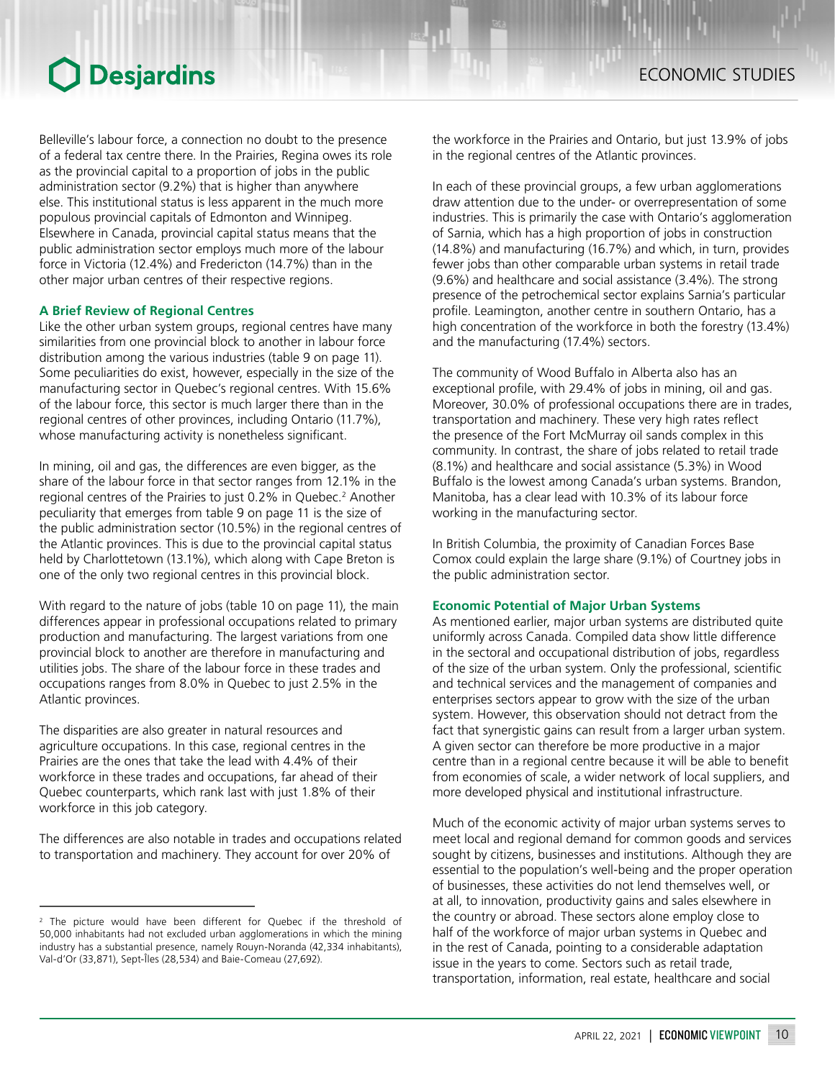Belleville's labour force, a connection no doubt to the presence of a federal tax centre there. In the Prairies, Regina owes its role as the provincial capital to a proportion of jobs in the public administration sector (9.2%) that is higher than anywhere else. This institutional status is less apparent in the much more populous provincial capitals of Edmonton and Winnipeg. Elsewhere in Canada, provincial capital status means that the public administration sector employs much more of the labour force in Victoria (12.4%) and Fredericton (14.7%) than in the other major urban centres of their respective regions.

#### **A Brief Review of Regional Centres**

Like the other urban system groups, regional centres have many similarities from one provincial block to another in labour force distribution among the various industries (table 9 on page 11). Some peculiarities do exist, however, especially in the size of the manufacturing sector in Quebec's regional centres. With 15.6% of the labour force, this sector is much larger there than in the regional centres of other provinces, including Ontario (11.7%), whose manufacturing activity is nonetheless significant.

In mining, oil and gas, the differences are even bigger, as the share of the labour force in that sector ranges from 12.1% in the regional centres of the Prairies to just 0.2% in Quebec.<sup>2</sup> Another peculiarity that emerges from table 9 on page 11 is the size of the public administration sector (10.5%) in the regional centres of the Atlantic provinces. This is due to the provincial capital status held by Charlottetown (13.1%), which along with Cape Breton is one of the only two regional centres in this provincial block.

With regard to the nature of jobs (table 10 on page 11), the main differences appear in professional occupations related to primary production and manufacturing. The largest variations from one provincial block to another are therefore in manufacturing and utilities jobs. The share of the labour force in these trades and occupations ranges from 8.0% in Quebec to just 2.5% in the Atlantic provinces.

The disparities are also greater in natural resources and agriculture occupations. In this case, regional centres in the Prairies are the ones that take the lead with 4.4% of their workforce in these trades and occupations, far ahead of their Quebec counterparts, which rank last with just 1.8% of their workforce in this job category.

The differences are also notable in trades and occupations related to transportation and machinery. They account for over 20% of

the workforce in the Prairies and Ontario, but just 13.9% of jobs in the regional centres of the Atlantic provinces.

In each of these provincial groups, a few urban agglomerations draw attention due to the under- or overrepresentation of some industries. This is primarily the case with Ontario's agglomeration of Sarnia, which has a high proportion of jobs in construction (14.8%) and manufacturing (16.7%) and which, in turn, provides fewer jobs than other comparable urban systems in retail trade (9.6%) and healthcare and social assistance (3.4%). The strong presence of the petrochemical sector explains Sarnia's particular profile. Leamington, another centre in southern Ontario, has a high concentration of the workforce in both the forestry (13.4%) and the manufacturing (17.4%) sectors.

The community of Wood Buffalo in Alberta also has an exceptional profile, with 29.4% of jobs in mining, oil and gas. Moreover, 30.0% of professional occupations there are in trades, transportation and machinery. These very high rates reflect the presence of the Fort McMurray oil sands complex in this community. In contrast, the share of jobs related to retail trade (8.1%) and healthcare and social assistance (5.3%) in Wood Buffalo is the lowest among Canada's urban systems. Brandon, Manitoba, has a clear lead with 10.3% of its labour force working in the manufacturing sector.

In British Columbia, the proximity of Canadian Forces Base Comox could explain the large share (9.1%) of Courtney jobs in the public administration sector.

#### **Economic Potential of Major Urban Systems**

As mentioned earlier, major urban systems are distributed quite uniformly across Canada. Compiled data show little difference in the sectoral and occupational distribution of jobs, regardless of the size of the urban system. Only the professional, scientific and technical services and the management of companies and enterprises sectors appear to grow with the size of the urban system. However, this observation should not detract from the fact that synergistic gains can result from a larger urban system. A given sector can therefore be more productive in a major centre than in a regional centre because it will be able to benefit from economies of scale, a wider network of local suppliers, and more developed physical and institutional infrastructure.

Much of the economic activity of major urban systems serves to meet local and regional demand for common goods and services sought by citizens, businesses and institutions. Although they are essential to the population's well-being and the proper operation of businesses, these activities do not lend themselves well, or at all, to innovation, productivity gains and sales elsewhere in the country or abroad. These sectors alone employ close to half of the workforce of major urban systems in Quebec and in the rest of Canada, pointing to a considerable adaptation issue in the years to come. Sectors such as retail trade, transportation, information, real estate, healthcare and social

<sup>&</sup>lt;sup>2</sup> The picture would have been different for Quebec if the threshold of 50,000 inhabitants had not excluded urban agglomerations in which the mining industry has a substantial presence, namely Rouyn-Noranda (42,334 inhabitants), Val-d'Or (33,871), Sept-Îles (28,534) and Baie-Comeau (27,692).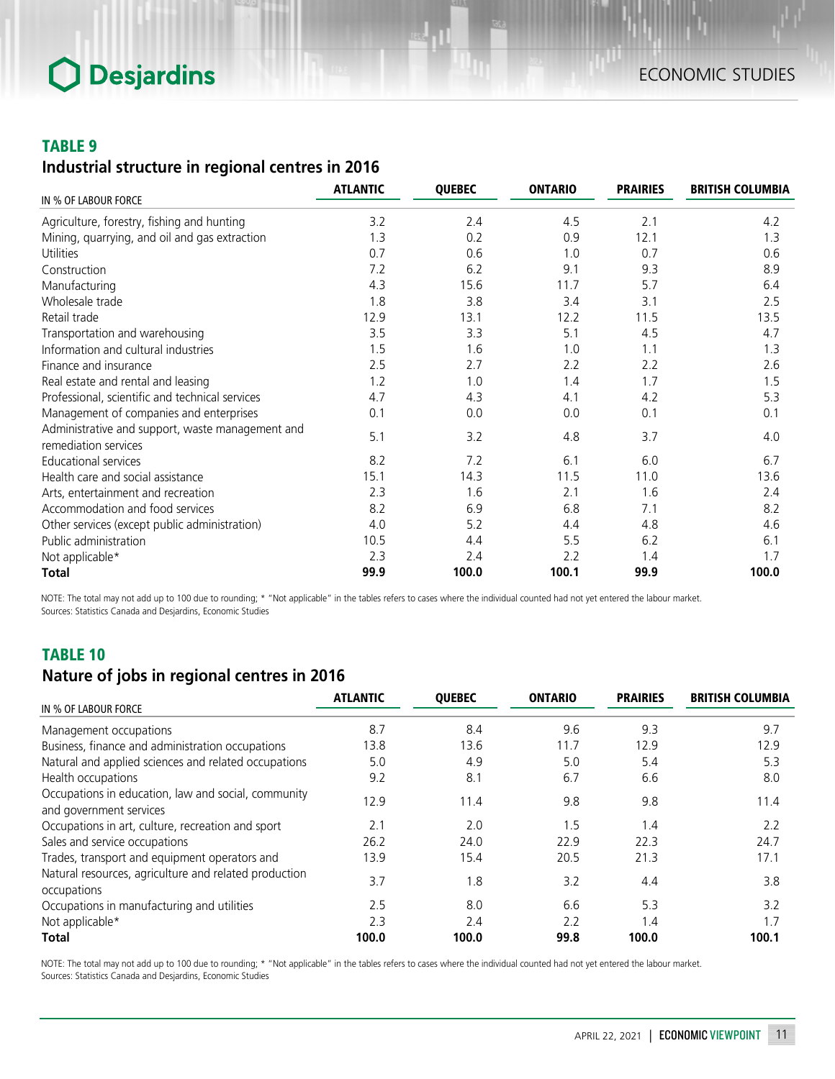### TABLE 9

## *Industrial structure in regional centres in 2016*

| IN % OF LABOUR FORCE                                                     | <b>ATLANTIC</b> | <b>QUEBEC</b> | <b>ONTARIO</b> | <b>PRAIRIES</b> | <b>BRITISH COLUMBIA</b> |
|--------------------------------------------------------------------------|-----------------|---------------|----------------|-----------------|-------------------------|
|                                                                          |                 |               |                |                 |                         |
| Agriculture, forestry, fishing and hunting                               | 3.2             | 2.4           | 4.5            | 2.1             | 4.2                     |
| Mining, quarrying, and oil and gas extraction                            | 1.3             | 0.2           | 0.9            | 12.1            | 1.3                     |
| Utilities                                                                | 0.7             | 0.6           | 1.0            | 0.7             | 0.6                     |
| Construction                                                             | 7.2             | 6.2           | 9.1            | 9.3             | 8.9                     |
| Manufacturing                                                            | 4.3             | 15.6          | 11.7           | 5.7             | 6.4                     |
| Wholesale trade                                                          | 1.8             | 3.8           | 3.4            | 3.1             | 2.5                     |
| Retail trade                                                             | 12.9            | 13.1          | 12.2           | 11.5            | 13.5                    |
| Transportation and warehousing                                           | 3.5             | 3.3           | 5.1            | 4.5             | 4.7                     |
| Information and cultural industries                                      | 1.5             | 1.6           | 1.0            | 1.1             | 1.3                     |
| Finance and insurance                                                    | 2.5             | 2.7           | 2.2            | 2.2             | 2.6                     |
| Real estate and rental and leasing                                       | 1.2             | 1.0           | 1.4            | 1.7             | 1.5                     |
| Professional, scientific and technical services                          | 4.7             | 4.3           | 4.1            | 4.2             | 5.3                     |
| Management of companies and enterprises                                  | 0.1             | 0.0           | 0.0            | 0.1             | 0.1                     |
| Administrative and support, waste management and<br>remediation services | 5.1             | 3.2           | 4.8            | 3.7             | 4.0                     |
| <b>Educational services</b>                                              | 8.2             | 7.2           | 6.1            | 6.0             | 6.7                     |
| Health care and social assistance                                        | 15.1            | 14.3          | 11.5           | 11.0            | 13.6                    |
| Arts, entertainment and recreation                                       | 2.3             | 1.6           | 2.1            | 1.6             | 2.4                     |
| Accommodation and food services                                          | 8.2             | 6.9           | 6.8            | 7.1             | 8.2                     |
| Other services (except public administration)                            | 4.0             | 5.2           | 4.4            | 4.8             | 4.6                     |
| Public administration                                                    | 10.5            | 4.4           | 5.5            | 6.2             | 6.1                     |
| Not applicable*                                                          | 2.3             | 2.4           | 2.2            | 1.4             | 1.7                     |
| <b>Total</b>                                                             | 99.9            | 100.0         | 100.1          | 99.9            | 100.0                   |

NOTE: The total may not add up to 100 due to rounding; \* "Not applicable" in the tables refers to cases where the individual counted had not yet entered the labour market. Sources: Statistics Canada and Desjardins, Economic Studies

## TABLE 10

## *Nature of jobs in regional centres in 2016*

| IN % OF LABOUR FORCE                                                           | <b>ATLANTIC</b> | <b>OUEBEC</b> | <b>ONTARIO</b> | <b>PRAIRIES</b> | <b>BRITISH COLUMBIA</b> |
|--------------------------------------------------------------------------------|-----------------|---------------|----------------|-----------------|-------------------------|
|                                                                                |                 |               |                |                 |                         |
| Management occupations                                                         | 8.7             | 8.4           | 9.6            | 9.3             | 9.7                     |
| Business, finance and administration occupations                               | 13.8            | 13.6          | 11.7           | 12.9            | 12.9                    |
| Natural and applied sciences and related occupations                           | 5.0             | 4.9           | 5.0            | 5.4             | 5.3                     |
| Health occupations                                                             | 9.2             | 8.1           | 6.7            | 6.6             | 8.0                     |
| Occupations in education, law and social, community<br>and government services | 12.9            | 11.4          | 9.8            | 9.8             | 11.4                    |
| Occupations in art, culture, recreation and sport                              | 2.1             | 2.0           | 1.5            | 1.4             | 2.2                     |
| Sales and service occupations                                                  | 26.2            | 24.0          | 22.9           | 22.3            | 24.7                    |
| Trades, transport and equipment operators and                                  | 13.9            | 15.4          | 20.5           | 21.3            | 17.1                    |
| Natural resources, agriculture and related production<br>occupations           | 3.7             | 8. ا          | 3.2            | 4.4             | 3.8                     |
| Occupations in manufacturing and utilities                                     | 2.5             | 8.0           | 6.6            | 5.3             | 3.2                     |
| Not applicable*                                                                | 2.3             | 2.4           | 22             | 1.4             | 1.7                     |
| Total                                                                          | 100.0           | 100.0         | 99.8           | 100.0           | 100.1                   |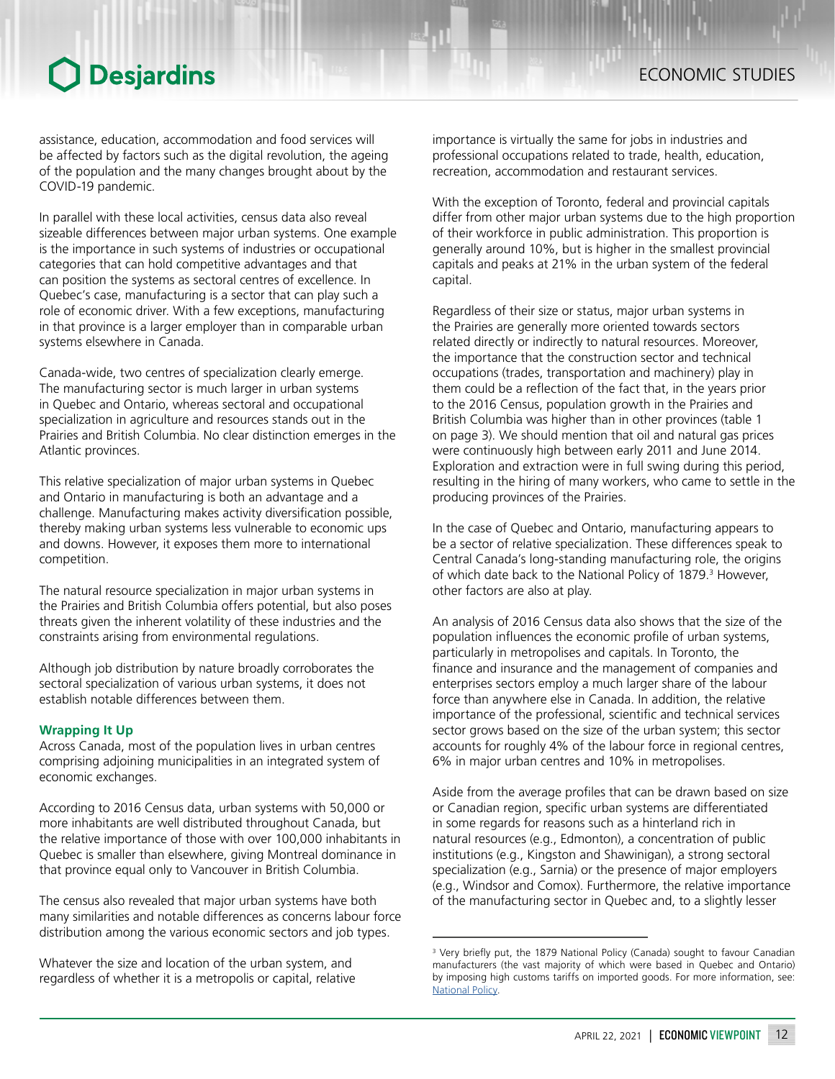assistance, education, accommodation and food services will be affected by factors such as the digital revolution, the ageing of the population and the many changes brought about by the COVID-19 pandemic.

In parallel with these local activities, census data also reveal sizeable differences between major urban systems. One example is the importance in such systems of industries or occupational categories that can hold competitive advantages and that can position the systems as sectoral centres of excellence. In Quebec's case, manufacturing is a sector that can play such a role of economic driver. With a few exceptions, manufacturing in that province is a larger employer than in comparable urban systems elsewhere in Canada.

Canada-wide, two centres of specialization clearly emerge. The manufacturing sector is much larger in urban systems in Quebec and Ontario, whereas sectoral and occupational specialization in agriculture and resources stands out in the Prairies and British Columbia. No clear distinction emerges in the Atlantic provinces.

This relative specialization of major urban systems in Quebec and Ontario in manufacturing is both an advantage and a challenge. Manufacturing makes activity diversification possible, thereby making urban systems less vulnerable to economic ups and downs. However, it exposes them more to international competition.

The natural resource specialization in major urban systems in the Prairies and British Columbia offers potential, but also poses threats given the inherent volatility of these industries and the constraints arising from environmental regulations.

Although job distribution by nature broadly corroborates the sectoral specialization of various urban systems, it does not establish notable differences between them.

#### **Wrapping It Up**

Across Canada, most of the population lives in urban centres comprising adjoining municipalities in an integrated system of economic exchanges.

According to 2016 Census data, urban systems with 50,000 or more inhabitants are well distributed throughout Canada, but the relative importance of those with over 100,000 inhabitants in Quebec is smaller than elsewhere, giving Montreal dominance in that province equal only to Vancouver in British Columbia.

The census also revealed that major urban systems have both many similarities and notable differences as concerns labour force distribution among the various economic sectors and job types.

Whatever the size and location of the urban system, and regardless of whether it is a metropolis or capital, relative

importance is virtually the same for jobs in industries and professional occupations related to trade, health, education, recreation, accommodation and restaurant services.

With the exception of Toronto, federal and provincial capitals differ from other major urban systems due to the high proportion of their workforce in public administration. This proportion is generally around 10%, but is higher in the smallest provincial capitals and peaks at 21% in the urban system of the federal capital.

Regardless of their size or status, major urban systems in the Prairies are generally more oriented towards sectors related directly or indirectly to natural resources. Moreover, the importance that the construction sector and technical occupations (trades, transportation and machinery) play in them could be a reflection of the fact that, in the years prior to the 2016 Census, population growth in the Prairies and British Columbia was higher than in other provinces (table 1 on page 3). We should mention that oil and natural gas prices were continuously high between early 2011 and June 2014. Exploration and extraction were in full swing during this period, resulting in the hiring of many workers, who came to settle in the producing provinces of the Prairies.

In the case of Quebec and Ontario, manufacturing appears to be a sector of relative specialization. These differences speak to Central Canada's long-standing manufacturing role, the origins of which date back to the National Policy of 1879.<sup>3</sup> However, other factors are also at play.

An analysis of 2016 Census data also shows that the size of the population influences the economic profile of urban systems, particularly in metropolises and capitals. In Toronto, the finance and insurance and the management of companies and enterprises sectors employ a much larger share of the labour force than anywhere else in Canada. In addition, the relative importance of the professional, scientific and technical services sector grows based on the size of the urban system; this sector accounts for roughly 4% of the labour force in regional centres, 6% in major urban centres and 10% in metropolises.

Aside from the average profiles that can be drawn based on size or Canadian region, specific urban systems are differentiated in some regards for reasons such as a hinterland rich in natural resources (e.g., Edmonton), a concentration of public institutions (e.g., Kingston and Shawinigan), a strong sectoral specialization (e.g., Sarnia) or the presence of major employers (e.g., Windsor and Comox). Furthermore, the relative importance of the manufacturing sector in Quebec and, to a slightly lesser

<sup>&</sup>lt;sup>3</sup> Very briefly put, the 1879 National Policy (Canada) sought to favour Canadian manufacturers (the vast majority of which were based in Quebec and Ontario) by imposing high customs tariffs on imported goods. For more information, see: [National Policy.](https://www.thecanadianencyclopedia.ca/en/article/national-policy)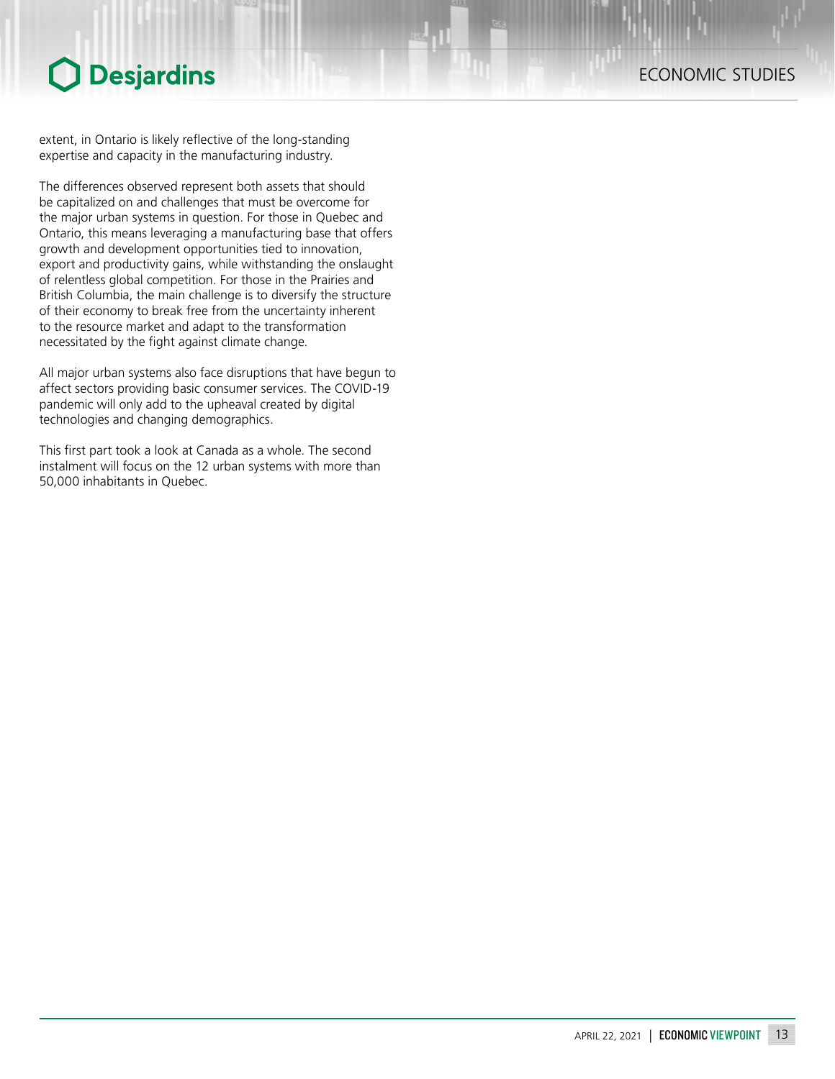## ECONOMIC STUDIES

extent, in Ontario is likely reflective of the long-standing expertise and capacity in the manufacturing industry.

The differences observed represent both assets that should be capitalized on and challenges that must be overcome for the major urban systems in question. For those in Quebec and Ontario, this means leveraging a manufacturing base that offers growth and development opportunities tied to innovation, export and productivity gains, while withstanding the onslaught of relentless global competition. For those in the Prairies and British Columbia, the main challenge is to diversify the structure of their economy to break free from the uncertainty inherent to the resource market and adapt to the transformation necessitated by the fight against climate change.

All major urban systems also face disruptions that have begun to affect sectors providing basic consumer services. The COVID-19 pandemic will only add to the upheaval created by digital technologies and changing demographics.

This first part took a look at Canada as a whole. The second instalment will focus on the 12 urban systems with more than 50,000 inhabitants in Quebec.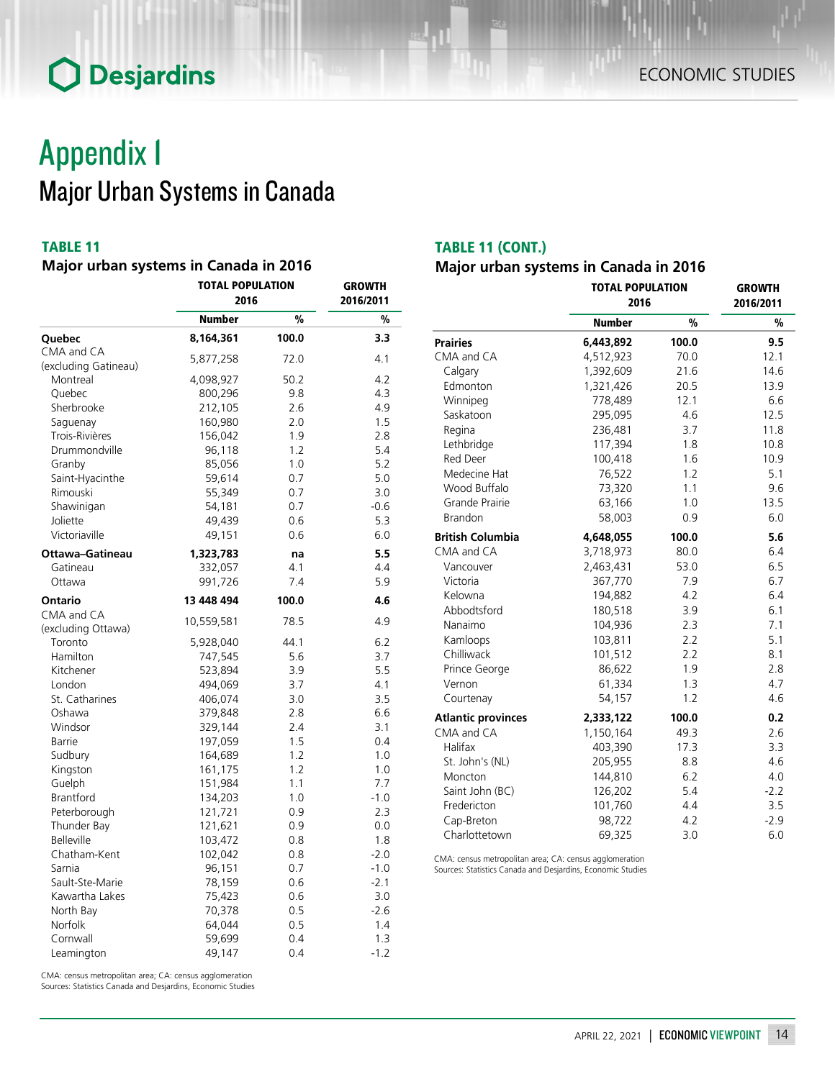## Appendix 1 Major Urban Systems in Canada

## TABLE 11

### *Major urban systems in Canada in 2016*

|                      | <b>TOTAL POPULATION</b><br>2016 | GROWTH<br>2016/2011 |        |
|----------------------|---------------------------------|---------------------|--------|
|                      | <b>Number</b>                   | $\frac{9}{6}$       | %      |
| Quebec               | 8,164,361                       | 100.0               | 3.3    |
| CMA and CA           | 5,877,258                       | 72.0                | 4.1    |
| (excluding Gatineau) |                                 |                     |        |
| Montreal             | 4,098,927                       | 50.2                | 4.2    |
| Quebec               | 800,296                         | 9.8                 | 4.3    |
| Sherbrooke           | 212,105                         | 2.6                 | 4.9    |
| Saguenay             | 160,980                         | 2.0                 | 1.5    |
| Trois-Rivières       | 156,042                         | 1.9                 | 2.8    |
| Drummondville        | 96,118                          | 1.2                 | 5.4    |
| Granby               | 85,056                          | 1.0                 | 5.2    |
| Saint-Hyacinthe      | 59,614                          | 0.7                 | 5.0    |
| Rimouski             | 55,349                          | 0.7                 | 3.0    |
| Shawinigan           | 54,181                          | 0.7                 | $-0.6$ |
| Joliette             | 49,439                          | 0.6                 | 5.3    |
| Victoriaville        | 49,151                          | 0.6                 | 6.0    |
| Ottawa-Gatineau      | 1,323,783                       | na                  | 5.5    |
| Gatineau             | 332,057                         | 4.1                 | 4.4    |
| Ottawa               | 991,726                         | 7.4                 | 5.9    |
| Ontario              | 13 448 494                      | 100.0               | 4.6    |
| CMA and CA           | 10,559,581                      | 78.5                | 4.9    |
| (excluding Ottawa)   |                                 |                     |        |
| Toronto              | 5,928,040                       | 44.1                | 6.2    |
| Hamilton             | 747,545                         | 5.6                 | 3.7    |
| Kitchener            | 523,894                         | 3.9                 | 5.5    |
| London               | 494,069                         | 3.7                 | 4.1    |
| St. Catharines       | 406,074                         | 3.0                 | 3.5    |
| Oshawa               | 379,848                         | 2.8                 | 6.6    |
| Windsor              | 329,144                         | 2.4                 | 3.1    |
| Barrie               | 197,059                         | 1.5                 | 0.4    |
| Sudbury              | 164,689                         | 1.2                 | 1.0    |
| Kingston             | 161,175                         | 1.2                 | 1.0    |
| Guelph               | 151,984                         | 1.1                 | 7.7    |
| <b>Brantford</b>     | 134,203                         | 1.0                 | $-1.0$ |
| Peterborough         | 121,721                         | 0.9                 | 2.3    |
| Thunder Bay          | 121,621                         | 0.9                 | 0.0    |
| <b>Belleville</b>    | 103,472                         | 0.8                 | 1.8    |
| Chatham-Kent         | 102,042                         | 0.8                 | $-2.0$ |
| Sarnia               | 96,151                          | 0.7                 | $-1.0$ |
| Sault-Ste-Marie      | 78,159                          | 0.6                 | $-2.1$ |
| Kawartha Lakes       | 75,423                          | 0.6                 | 3.0    |
| North Bay            | 70,378                          | 0.5                 | $-2.6$ |
| Norfolk              | 64,044                          | 0.5                 | 1.4    |
| Cornwall             | 59,699                          | 0.4                 | 1.3    |
| Leamington           | 49,147                          | 0.4                 | $-1.2$ |

## TABLE 11 (CONT.)

## *Major urban systems in Canada in 2016*

|                           | <b>TOTAL POPULATION</b><br>2016 | <b>GROWTH</b><br>2016/2011 |               |
|---------------------------|---------------------------------|----------------------------|---------------|
|                           | <b>Number</b>                   | $\frac{0}{0}$              | $\frac{9}{6}$ |
| <b>Prairies</b>           | 6,443,892                       | 100.0                      | 9.5           |
| CMA and CA                | 4,512,923                       | 70.0                       | 12.1          |
| Calgary                   | 1,392,609                       | 21.6                       | 14.6          |
| Edmonton                  | 1,321,426                       | 20.5                       | 13.9          |
| Winnipeg                  | 778,489                         | 12.1                       | 6.6           |
| Saskatoon                 | 295,095                         | 4.6                        | 12.5          |
| Regina                    | 236,481                         | 3.7                        | 11.8          |
| Lethbridge                | 117,394                         | 1.8                        | 10.8          |
| <b>Red Deer</b>           | 100,418                         | 1.6                        | 10.9          |
| Medecine Hat              | 76,522                          | 1.2                        | 5.1           |
| Wood Buffalo              | 73,320                          | 1.1                        | 9.6           |
| Grande Prairie            | 63,166                          | 1.0                        | 13.5          |
| <b>Brandon</b>            | 58,003                          | 0.9                        | 6.0           |
| <b>British Columbia</b>   | 4,648,055                       | 100.0                      | 5.6           |
| CMA and CA                | 3,718,973                       | 80.0                       | 6.4           |
| Vancouver                 | 2,463,431                       | 53.0                       | 6.5           |
| Victoria                  | 367,770                         | 7.9                        | 6.7           |
| Kelowna                   | 194,882                         | 4.2                        | 6.4           |
| Abbodtsford               | 180,518                         | 3.9                        | 6.1           |
| Nanaimo                   | 104,936                         | 2.3                        | 7.1           |
| Kamloops                  | 103,811                         | 2.2                        | 5.1           |
| Chilliwack                | 101,512                         | 2.2                        | 8.1           |
| Prince George             | 86,622                          | 1.9                        | 2.8           |
| Vernon                    | 61,334                          | 1.3                        | 4.7           |
| Courtenay                 | 54,157                          | 1.2                        | 4.6           |
| <b>Atlantic provinces</b> | 2,333,122                       | 100.0                      | 0.2           |
| CMA and CA                | 1,150,164                       | 49.3                       | 2.6           |
| Halifax                   | 403,390                         | 17.3                       | 3.3           |
| St. John's (NL)           | 205,955                         | 8.8                        | 4.6           |
| Moncton                   | 144,810                         | 6.2                        | 4.0           |
| Saint John (BC)           | 126,202                         | 5.4                        | $-2.2$        |
| Fredericton               | 101,760                         | 4.4                        | 3.5           |
| Cap-Breton                | 98,722                          | 4.2                        | $-2.9$        |
| Charlottetown             | 69,325                          | 3.0                        | 6.0           |

CMA: census metropolitan area; CA: census agglomeration Sources: Statistics Canada and Desjardins, Economic Studies

CMA: census metropolitan area; CA: census agglomeration Sources: Statistics Canada and Desjardins, Economic Studies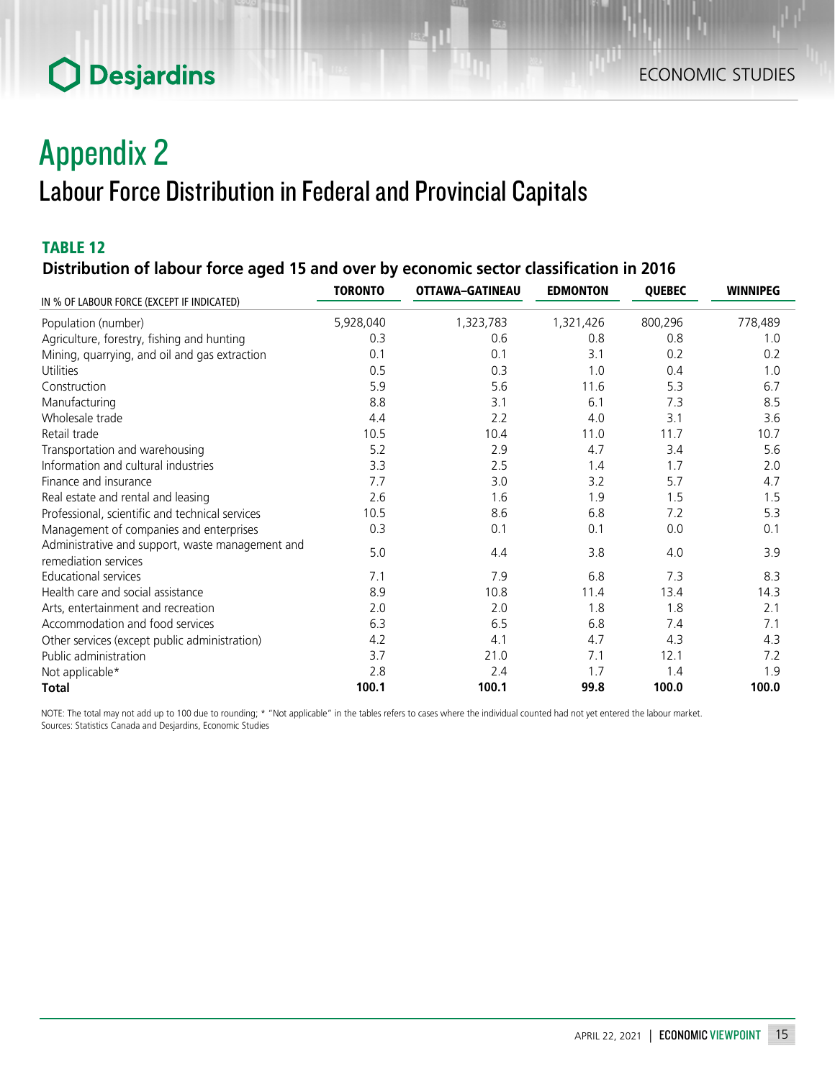# Appendix 2 Labour Force Distribution in Federal and Provincial Capitals

## TABLE 12

*Distribution of labour force aged 15 and over by economic sector classification in 2016*

|                                                  | <b>TORONTO</b> | OTTAWA-GATINEAU | <b>EDMONTON</b> | <b>QUEBEC</b> | <b>WINNIPEG</b> |
|--------------------------------------------------|----------------|-----------------|-----------------|---------------|-----------------|
| IN % OF LABOUR FORCE (EXCEPT IF INDICATED)       |                |                 |                 |               |                 |
| Population (number)                              | 5,928,040      | 1,323,783       | 1,321,426       | 800,296       | 778,489         |
| Agriculture, forestry, fishing and hunting       | 0.3            | 0.6             | 0.8             | 0.8           | 1.0             |
| Mining, quarrying, and oil and gas extraction    | 0.1            | 0.1             | 3.1             | 0.2           | 0.2             |
| Utilities                                        | 0.5            | 0.3             | 1.0             | 0.4           | 1.0             |
| Construction                                     | 5.9            | 5.6             | 11.6            | 5.3           | 6.7             |
| Manufacturing                                    | 8.8            | 3.1             | 6.1             | 7.3           | 8.5             |
| Wholesale trade                                  | 4.4            | 2.2             | 4.0             | 3.1           | 3.6             |
| Retail trade                                     | 10.5           | 10.4            | 11.0            | 11.7          | 10.7            |
| Transportation and warehousing                   | 5.2            | 2.9             | 4.7             | 3.4           | 5.6             |
| Information and cultural industries              | 3.3            | 2.5             | 1.4             | 1.7           | 2.0             |
| Finance and insurance                            | 7.7            | 3.0             | 3.2             | 5.7           | 4.7             |
| Real estate and rental and leasing               | 2.6            | 1.6             | 1.9             | 1.5           | 1.5             |
| Professional, scientific and technical services  | 10.5           | 8.6             | 6.8             | 7.2           | 5.3             |
| Management of companies and enterprises          | 0.3            | 0.1             | 0.1             | 0.0           | 0.1             |
| Administrative and support, waste management and | 5.0            | 4.4             | 3.8             | 4.0           | 3.9             |
| remediation services                             |                |                 |                 |               |                 |
| <b>Educational services</b>                      | 7.1            | 7.9             | 6.8             | 7.3           | 8.3             |
| Health care and social assistance                | 8.9            | 10.8            | 11.4            | 13.4          | 14.3            |
| Arts, entertainment and recreation               | 2.0            | 2.0             | 1.8             | 1.8           | 2.1             |
| Accommodation and food services                  | 6.3            | 6.5             | 6.8             | 7.4           | 7.1             |
| Other services (except public administration)    | 4.2            | 4.1             | 4.7             | 4.3           | 4.3             |
| Public administration                            | 3.7            | 21.0            | 7.1             | 12.1          | 7.2             |
| Not applicable*                                  | 2.8            | 2.4             | 1.7             | 1.4           | 1.9             |
| <b>Total</b>                                     | 100.1          | 100.1           | 99.8            | 100.0         | 100.0           |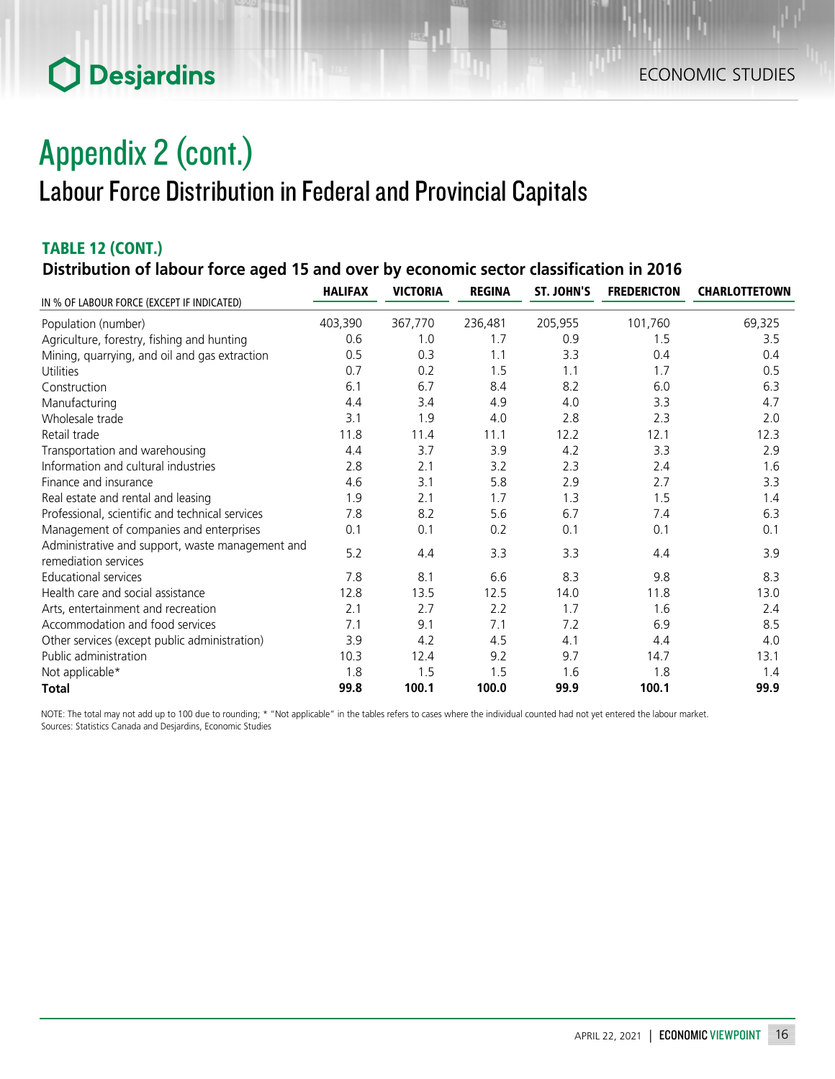# Appendix 2 (cont.) Labour Force Distribution in Federal and Provincial Capitals

## TABLE 12 (CONT.) *Distribution of labour force aged 15 and over by economic sector classification in 2016*

| IN % OF LABOUR FORCE (EXCEPT IF INDICATED)                               | <b>HALIFAX</b> | <b>VICTORIA</b> | <b>REGINA</b> | ST. JOHN'S | <b>FREDERICTON</b> | <b>CHARLOTTETOWN</b> |
|--------------------------------------------------------------------------|----------------|-----------------|---------------|------------|--------------------|----------------------|
| Population (number)                                                      | 403,390        | 367,770         | 236,481       | 205,955    | 101,760            | 69,325               |
| Agriculture, forestry, fishing and hunting                               | 0.6            | 1.0             | 1.7           | 0.9        | 1.5                | 3.5                  |
| Mining, quarrying, and oil and gas extraction                            | 0.5            | 0.3             | 1.1           | 3.3        | 0.4                | 0.4                  |
| Utilities                                                                | 0.7            | 0.2             | 1.5           | 1.1        | 1.7                | 0.5                  |
| Construction                                                             | 6.1            | 6.7             | 8.4           | 8.2        | 6.0                | 6.3                  |
| Manufacturing                                                            | 4.4            | 3.4             | 4.9           | 4.0        | 3.3                | 4.7                  |
| Wholesale trade                                                          | 3.1            | 1.9             | 4.0           | 2.8        | 2.3                | 2.0                  |
| Retail trade                                                             | 11.8           | 11.4            | 11.1          | 12.2       | 12.1               | 12.3                 |
| Transportation and warehousing                                           | 4.4            | 3.7             | 3.9           | 4.2        | 3.3                | 2.9                  |
| Information and cultural industries                                      | 2.8            | 2.1             | 3.2           | 2.3        | 2.4                | 1.6                  |
| Finance and insurance                                                    | 4.6            | 3.1             | 5.8           | 2.9        | 2.7                | 3.3                  |
| Real estate and rental and leasing                                       | 1.9            | 2.1             | 1.7           | 1.3        | 1.5                | 1.4                  |
| Professional, scientific and technical services                          | 7.8            | 8.2             | 5.6           | 6.7        | 7.4                | 6.3                  |
| Management of companies and enterprises                                  | 0.1            | 0.1             | 0.2           | 0.1        | 0.1                | 0.1                  |
| Administrative and support, waste management and<br>remediation services | 5.2            | 4.4             | 3.3           | 3.3        | 4.4                | 3.9                  |
| <b>Educational services</b>                                              | 7.8            | 8.1             | 6.6           | 8.3        | 9.8                | 8.3                  |
| Health care and social assistance                                        | 12.8           | 13.5            | 12.5          | 14.0       | 11.8               | 13.0                 |
| Arts, entertainment and recreation                                       | 2.1            | 2.7             | 2.2           | 1.7        | 1.6                | 2.4                  |
| Accommodation and food services                                          | 7.1            | 9.1             | 7.1           | 7.2        | 6.9                | 8.5                  |
| Other services (except public administration)                            | 3.9            | 4.2             | 4.5           | 4.1        | 4.4                | 4.0                  |
| Public administration                                                    | 10.3           | 12.4            | 9.2           | 9.7        | 14.7               | 13.1                 |
| Not applicable*                                                          | 1.8            | 1.5             | 1.5           | 1.6        | 1.8                | 1.4                  |
| <b>Total</b>                                                             | 99.8           | 100.1           | 100.0         | 99.9       | 100.1              | 99.9                 |